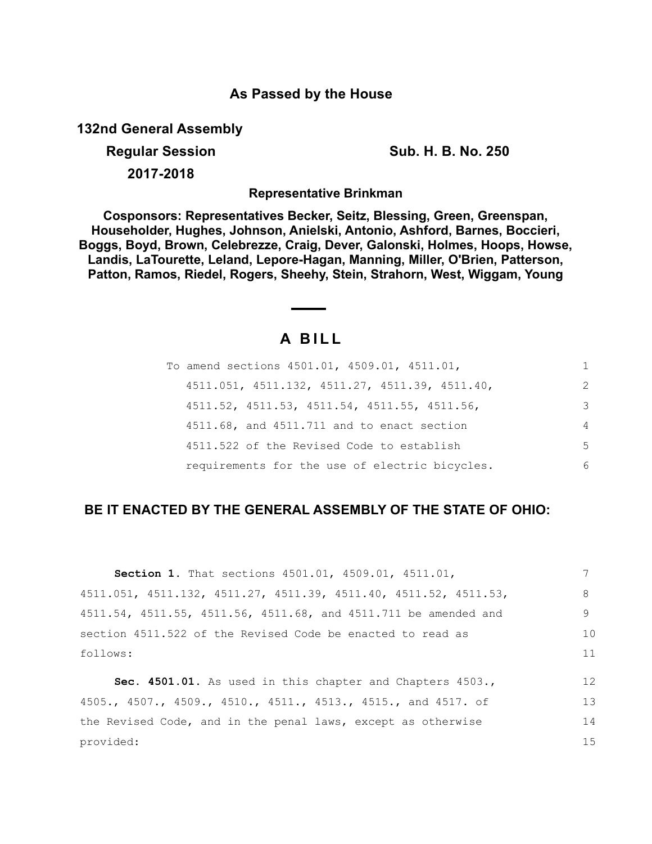# **As Passed by the House**

**132nd General Assembly**

**Regular Session Sub. H. B. No. 250 2017-2018**

provided:

**Representative Brinkman**

**Cosponsors: Representatives Becker, Seitz, Blessing, Green, Greenspan, Householder, Hughes, Johnson, Anielski, Antonio, Ashford, Barnes, Boccieri, Boggs, Boyd, Brown, Celebrezze, Craig, Dever, Galonski, Holmes, Hoops, Howse, Landis, LaTourette, Leland, Lepore-Hagan, Manning, Miller, O'Brien, Patterson, Patton, Ramos, Riedel, Rogers, Sheehy, Stein, Strahorn, West, Wiggam, Young**

# **A B I L L**

| To amend sections 4501.01, 4509.01, 4511.01,   |                |
|------------------------------------------------|----------------|
| 4511.051, 4511.132, 4511.27, 4511.39, 4511.40, | $\mathcal{L}$  |
| 4511.52, 4511.53, 4511.54, 4511.55, 4511.56,   | 3              |
| 4511.68, and 4511.711 and to enact section     | $\overline{4}$ |
| 4511.522 of the Revised Code to establish      | -5             |
| requirements for the use of electric bicycles. | 6              |

# **BE IT ENACTED BY THE GENERAL ASSEMBLY OF THE STATE OF OHIO:**

| <b>Section 1.</b> That sections 4501.01, 4509.01, 4511.01,       |    |
|------------------------------------------------------------------|----|
| 4511.051, 4511.132, 4511.27, 4511.39, 4511.40, 4511.52, 4511.53, | 8  |
| 4511.54, 4511.55, 4511.56, 4511.68, and 4511.711 be amended and  | 9  |
| section 4511.522 of the Revised Code be enacted to read as       | 10 |
| follows:                                                         | 11 |
| Sec. 4501.01. As used in this chapter and Chapters 4503.,        | 12 |
| 4505., 4507., 4509., 4510., 4511., 4513., 4515., and 4517. of    | 13 |
| the Revised Code, and in the penal laws, except as otherwise     | 14 |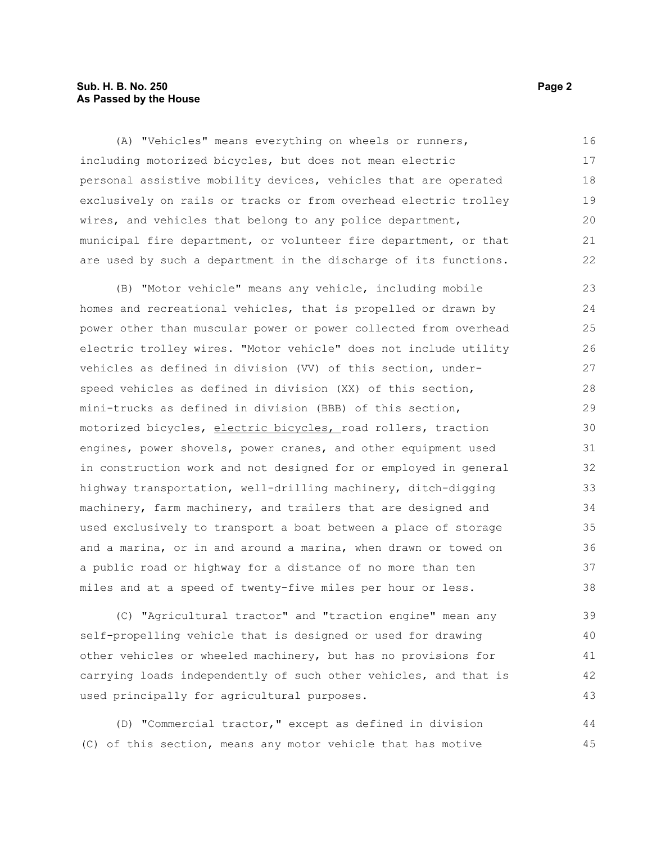#### **Sub. H. B. No. 250 Page 2 As Passed by the House**

(A) "Vehicles" means everything on wheels or runners, including motorized bicycles, but does not mean electric personal assistive mobility devices, vehicles that are operated exclusively on rails or tracks or from overhead electric trolley wires, and vehicles that belong to any police department, municipal fire department, or volunteer fire department, or that are used by such a department in the discharge of its functions. 16 17 18 19  $20$ 21 22

(B) "Motor vehicle" means any vehicle, including mobile homes and recreational vehicles, that is propelled or drawn by power other than muscular power or power collected from overhead electric trolley wires. "Motor vehicle" does not include utility vehicles as defined in division (VV) of this section, underspeed vehicles as defined in division (XX) of this section, mini-trucks as defined in division (BBB) of this section, motorized bicycles, electric bicycles, road rollers, traction engines, power shovels, power cranes, and other equipment used in construction work and not designed for or employed in general highway transportation, well-drilling machinery, ditch-digging machinery, farm machinery, and trailers that are designed and used exclusively to transport a boat between a place of storage and a marina, or in and around a marina, when drawn or towed on a public road or highway for a distance of no more than ten miles and at a speed of twenty-five miles per hour or less. 23  $24$ 25 26 27 28 29 30 31 32 33 34 35 36 37 38

(C) "Agricultural tractor" and "traction engine" mean any self-propelling vehicle that is designed or used for drawing other vehicles or wheeled machinery, but has no provisions for carrying loads independently of such other vehicles, and that is used principally for agricultural purposes. 39 40 41 42 43

(D) "Commercial tractor," except as defined in division (C) of this section, means any motor vehicle that has motive 44 45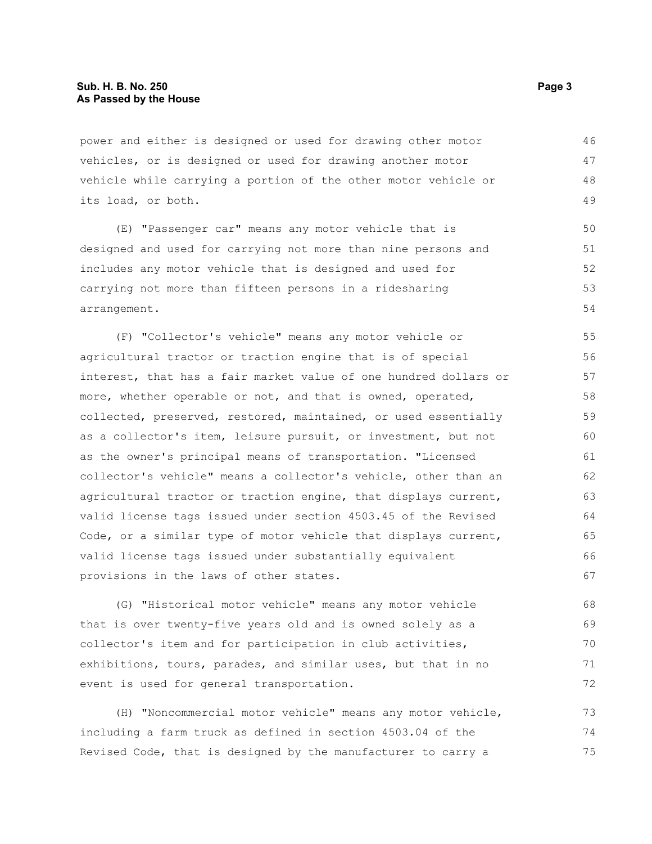power and either is designed or used for drawing other motor vehicles, or is designed or used for drawing another motor vehicle while carrying a portion of the other motor vehicle or its load, or both. 46 47 48 49

(E) "Passenger car" means any motor vehicle that is designed and used for carrying not more than nine persons and includes any motor vehicle that is designed and used for carrying not more than fifteen persons in a ridesharing arrangement. 50 51 52 53 54

(F) "Collector's vehicle" means any motor vehicle or agricultural tractor or traction engine that is of special interest, that has a fair market value of one hundred dollars or more, whether operable or not, and that is owned, operated, collected, preserved, restored, maintained, or used essentially as a collector's item, leisure pursuit, or investment, but not as the owner's principal means of transportation. "Licensed collector's vehicle" means a collector's vehicle, other than an agricultural tractor or traction engine, that displays current, valid license tags issued under section 4503.45 of the Revised Code, or a similar type of motor vehicle that displays current, valid license tags issued under substantially equivalent provisions in the laws of other states. 55 56 57 58 59 60 61 62 63 64 65 66 67

(G) "Historical motor vehicle" means any motor vehicle that is over twenty-five years old and is owned solely as a collector's item and for participation in club activities, exhibitions, tours, parades, and similar uses, but that in no event is used for general transportation.

(H) "Noncommercial motor vehicle" means any motor vehicle, including a farm truck as defined in section 4503.04 of the Revised Code, that is designed by the manufacturer to carry a 73 74 75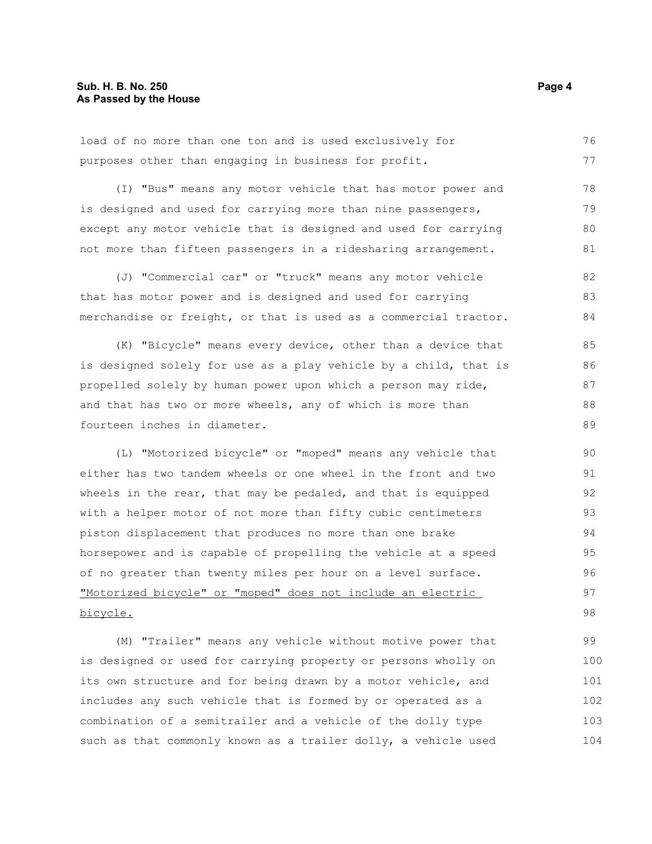load of no more than one ton and is used exclusively for purposes other than engaging in business for profit. 76 77

(I) "Bus" means any motor vehicle that has motor power and is designed and used for carrying more than nine passengers, except any motor vehicle that is designed and used for carrying not more than fifteen passengers in a ridesharing arrangement. 78 79 80 81

(J) "Commercial car" or "truck" means any motor vehicle that has motor power and is designed and used for carrying merchandise or freight, or that is used as a commercial tractor. 82 83 84

(K) "Bicycle" means every device, other than a device that is designed solely for use as a play vehicle by a child, that is propelled solely by human power upon which a person may ride, and that has two or more wheels, any of which is more than fourteen inches in diameter. 85 86 87 88 89

(L) "Motorized bicycle" or "moped" means any vehicle that either has two tandem wheels or one wheel in the front and two wheels in the rear, that may be pedaled, and that is equipped with a helper motor of not more than fifty cubic centimeters piston displacement that produces no more than one brake horsepower and is capable of propelling the vehicle at a speed of no greater than twenty miles per hour on a level surface. "Motorized bicycle" or "moped" does not include an electric bicycle.

(M) "Trailer" means any vehicle without motive power that is designed or used for carrying property or persons wholly on its own structure and for being drawn by a motor vehicle, and includes any such vehicle that is formed by or operated as a combination of a semitrailer and a vehicle of the dolly type such as that commonly known as a trailer dolly, a vehicle used 99 100 101 102 103 104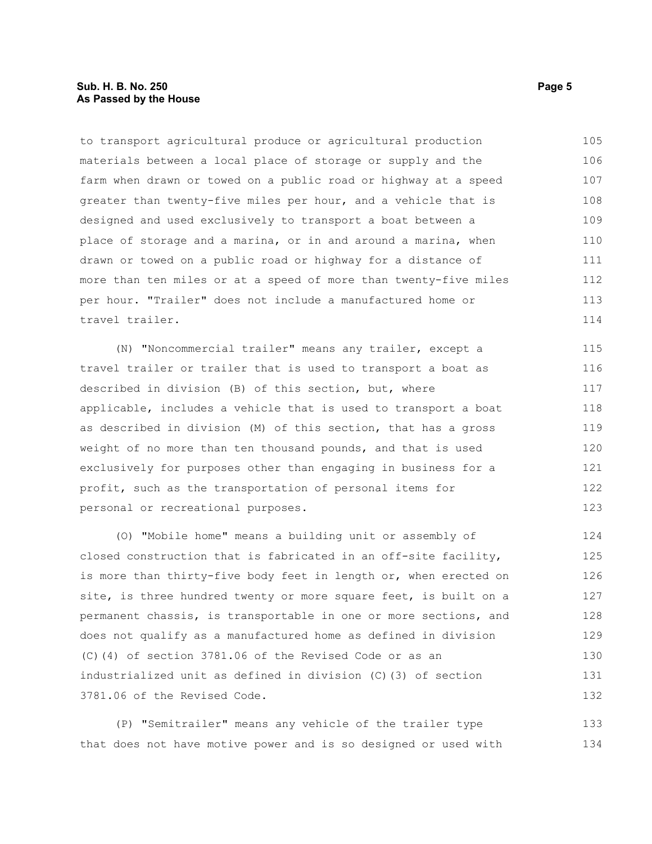#### **Sub. H. B. No. 250 Page 5 As Passed by the House**

to transport agricultural produce or agricultural production materials between a local place of storage or supply and the farm when drawn or towed on a public road or highway at a speed greater than twenty-five miles per hour, and a vehicle that is designed and used exclusively to transport a boat between a place of storage and a marina, or in and around a marina, when drawn or towed on a public road or highway for a distance of more than ten miles or at a speed of more than twenty-five miles per hour. "Trailer" does not include a manufactured home or travel trailer. 105 106 107 108 109 110 111 112 113 114

(N) "Noncommercial trailer" means any trailer, except a travel trailer or trailer that is used to transport a boat as described in division (B) of this section, but, where applicable, includes a vehicle that is used to transport a boat as described in division (M) of this section, that has a gross weight of no more than ten thousand pounds, and that is used exclusively for purposes other than engaging in business for a profit, such as the transportation of personal items for personal or recreational purposes. 115 116 117 118 119 120 121 122 123

(O) "Mobile home" means a building unit or assembly of closed construction that is fabricated in an off-site facility, is more than thirty-five body feet in length or, when erected on site, is three hundred twenty or more square feet, is built on a permanent chassis, is transportable in one or more sections, and does not qualify as a manufactured home as defined in division (C)(4) of section 3781.06 of the Revised Code or as an industrialized unit as defined in division (C)(3) of section 3781.06 of the Revised Code. 124 125 126 127 128 129 130 131 132

(P) "Semitrailer" means any vehicle of the trailer type that does not have motive power and is so designed or used with 133 134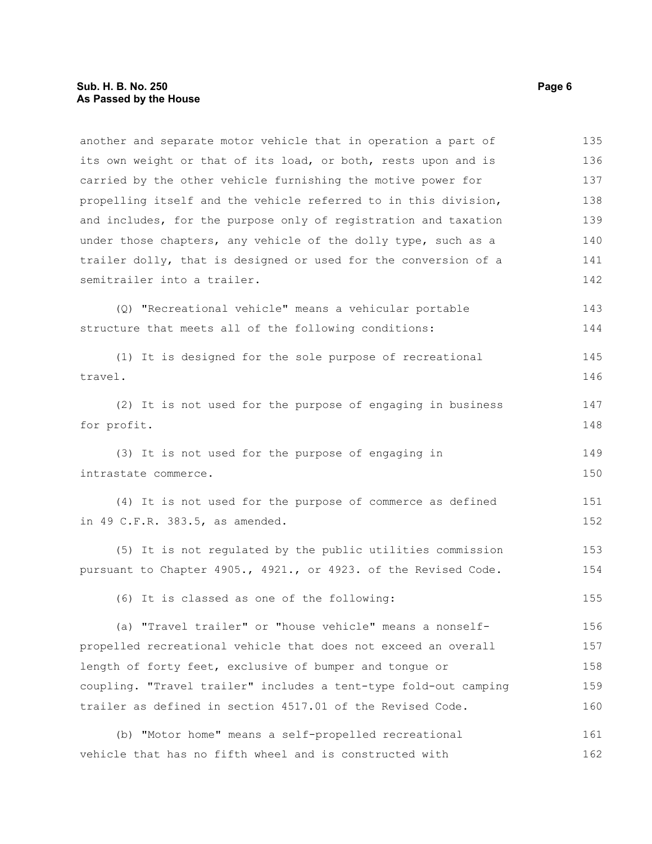another and separate motor vehicle that in operation a part of its own weight or that of its load, or both, rests upon and is carried by the other vehicle furnishing the motive power for propelling itself and the vehicle referred to in this division, and includes, for the purpose only of registration and taxation under those chapters, any vehicle of the dolly type, such as a trailer dolly, that is designed or used for the conversion of a semitrailer into a trailer. 135 136 137 138 139 140 141 142

(Q) "Recreational vehicle" means a vehicular portable structure that meets all of the following conditions: 143 144

(1) It is designed for the sole purpose of recreational travel. 145 146

(2) It is not used for the purpose of engaging in business for profit.

(3) It is not used for the purpose of engaging in intrastate commerce.

(4) It is not used for the purpose of commerce as defined in 49 C.F.R. 383.5, as amended. 151 152

(5) It is not regulated by the public utilities commission pursuant to Chapter 4905., 4921., or 4923. of the Revised Code. 153 154

(6) It is classed as one of the following:

(a) "Travel trailer" or "house vehicle" means a nonselfpropelled recreational vehicle that does not exceed an overall length of forty feet, exclusive of bumper and tongue or coupling. "Travel trailer" includes a tent-type fold-out camping trailer as defined in section 4517.01 of the Revised Code. 156 157 158 159 160

(b) "Motor home" means a self-propelled recreational vehicle that has no fifth wheel and is constructed with 161 162

147 148

149 150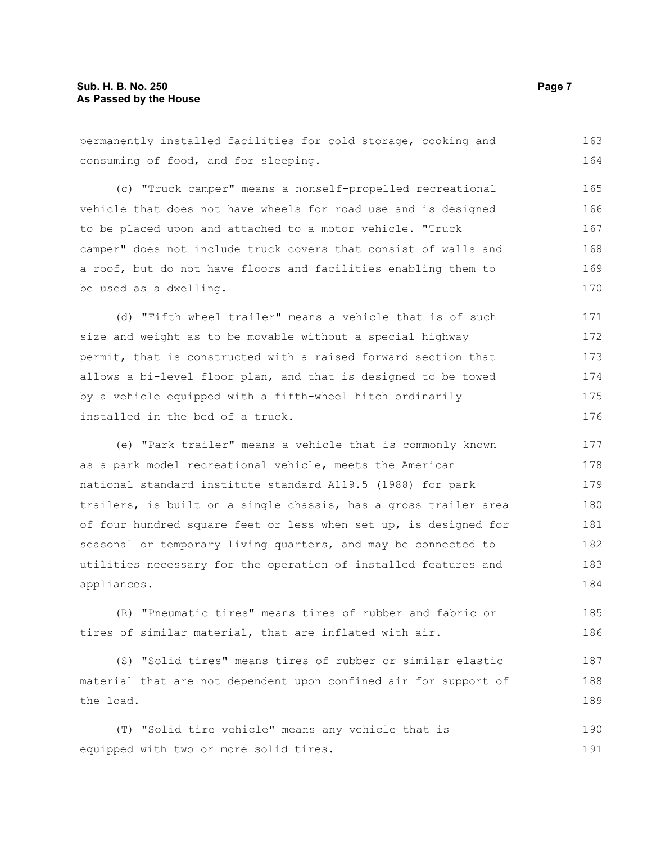#### **Sub. H. B. No. 250 Page 7 As Passed by the House**

permanently installed facilities for cold storage, cooking and consuming of food, and for sleeping. (c) "Truck camper" means a nonself-propelled recreational vehicle that does not have wheels for road use and is designed to be placed upon and attached to a motor vehicle. "Truck camper" does not include truck covers that consist of walls and a roof, but do not have floors and facilities enabling them to be used as a dwelling. (d) "Fifth wheel trailer" means a vehicle that is of such size and weight as to be movable without a special highway permit, that is constructed with a raised forward section that allows a bi-level floor plan, and that is designed to be towed by a vehicle equipped with a fifth-wheel hitch ordinarily installed in the bed of a truck. (e) "Park trailer" means a vehicle that is commonly known as a park model recreational vehicle, meets the American national standard institute standard A119.5 (1988) for park trailers, is built on a single chassis, has a gross trailer area of four hundred square feet or less when set up, is designed for seasonal or temporary living quarters, and may be connected to utilities necessary for the operation of installed features and appliances. (R) "Pneumatic tires" means tires of rubber and fabric or tires of similar material, that are inflated with air. 163 164 165 166 167 168 169 170 171 172 173 174 175 176 177 178 179 180 181 182 183 184 185 186

(S) "Solid tires" means tires of rubber or similar elastic material that are not dependent upon confined air for support of the load. 187 188 189

(T) "Solid tire vehicle" means any vehicle that is equipped with two or more solid tires. 190 191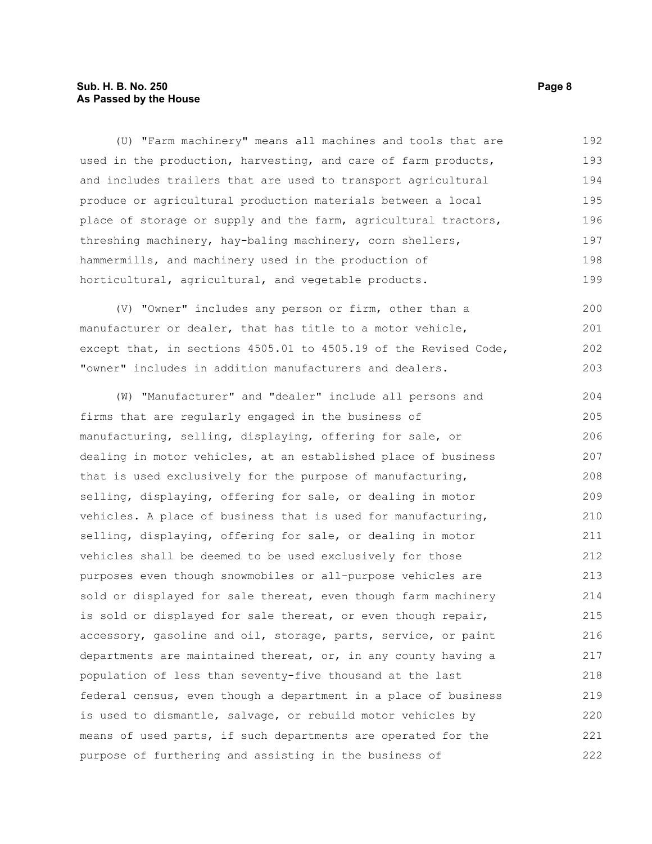#### **Sub. H. B. No. 250 Page 8 As Passed by the House**

(U) "Farm machinery" means all machines and tools that are used in the production, harvesting, and care of farm products, and includes trailers that are used to transport agricultural produce or agricultural production materials between a local place of storage or supply and the farm, agricultural tractors, threshing machinery, hay-baling machinery, corn shellers, hammermills, and machinery used in the production of horticultural, agricultural, and vegetable products. 192 193 194 195 196 197 198 199

(V) "Owner" includes any person or firm, other than a manufacturer or dealer, that has title to a motor vehicle, except that, in sections 4505.01 to 4505.19 of the Revised Code, "owner" includes in addition manufacturers and dealers. 200 201 202 203

(W) "Manufacturer" and "dealer" include all persons and firms that are regularly engaged in the business of manufacturing, selling, displaying, offering for sale, or dealing in motor vehicles, at an established place of business that is used exclusively for the purpose of manufacturing, selling, displaying, offering for sale, or dealing in motor vehicles. A place of business that is used for manufacturing, selling, displaying, offering for sale, or dealing in motor vehicles shall be deemed to be used exclusively for those purposes even though snowmobiles or all-purpose vehicles are sold or displayed for sale thereat, even though farm machinery is sold or displayed for sale thereat, or even though repair, accessory, gasoline and oil, storage, parts, service, or paint departments are maintained thereat, or, in any county having a population of less than seventy-five thousand at the last federal census, even though a department in a place of business is used to dismantle, salvage, or rebuild motor vehicles by means of used parts, if such departments are operated for the purpose of furthering and assisting in the business of 204 205 206 207 208 209 210 211 212 213 214 215 216 217 218 219 220 221 222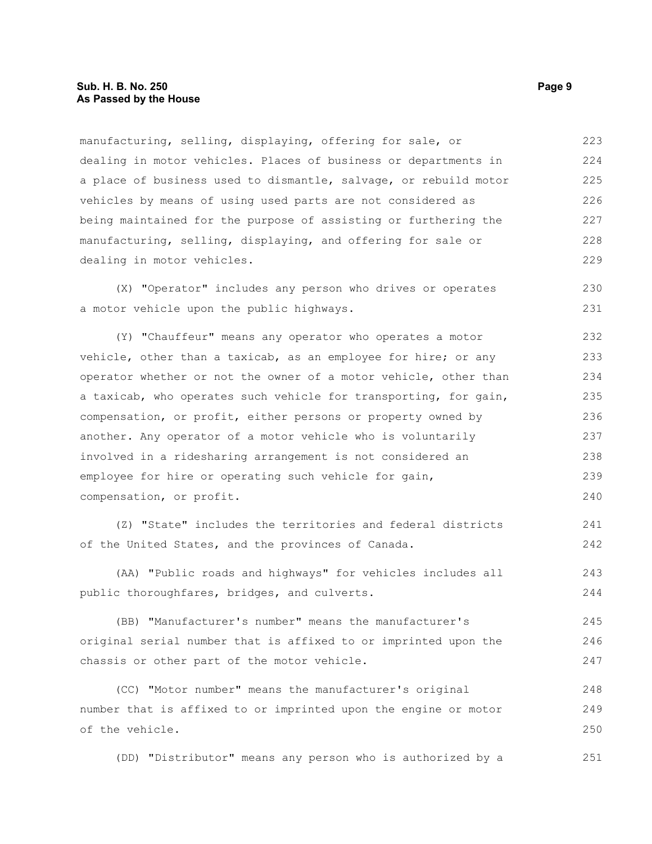#### **Sub. H. B. No. 250 Page 9 As Passed by the House**

manufacturing, selling, displaying, offering for sale, or dealing in motor vehicles. Places of business or departments in a place of business used to dismantle, salvage, or rebuild motor vehicles by means of using used parts are not considered as being maintained for the purpose of assisting or furthering the manufacturing, selling, displaying, and offering for sale or dealing in motor vehicles. 223 224 225 226 227 228 229

(X) "Operator" includes any person who drives or operates a motor vehicle upon the public highways. 230 231

(Y) "Chauffeur" means any operator who operates a motor vehicle, other than a taxicab, as an employee for hire; or any operator whether or not the owner of a motor vehicle, other than a taxicab, who operates such vehicle for transporting, for gain, compensation, or profit, either persons or property owned by another. Any operator of a motor vehicle who is voluntarily involved in a ridesharing arrangement is not considered an employee for hire or operating such vehicle for gain, compensation, or profit. 232 233 234 235 236 237 238 239 240

(Z) "State" includes the territories and federal districts of the United States, and the provinces of Canada. 241 242

(AA) "Public roads and highways" for vehicles includes all public thoroughfares, bridges, and culverts. 243 244

(BB) "Manufacturer's number" means the manufacturer's original serial number that is affixed to or imprinted upon the chassis or other part of the motor vehicle. 245 246 247

(CC) "Motor number" means the manufacturer's original number that is affixed to or imprinted upon the engine or motor of the vehicle. 248 249 250

(DD) "Distributor" means any person who is authorized by a 251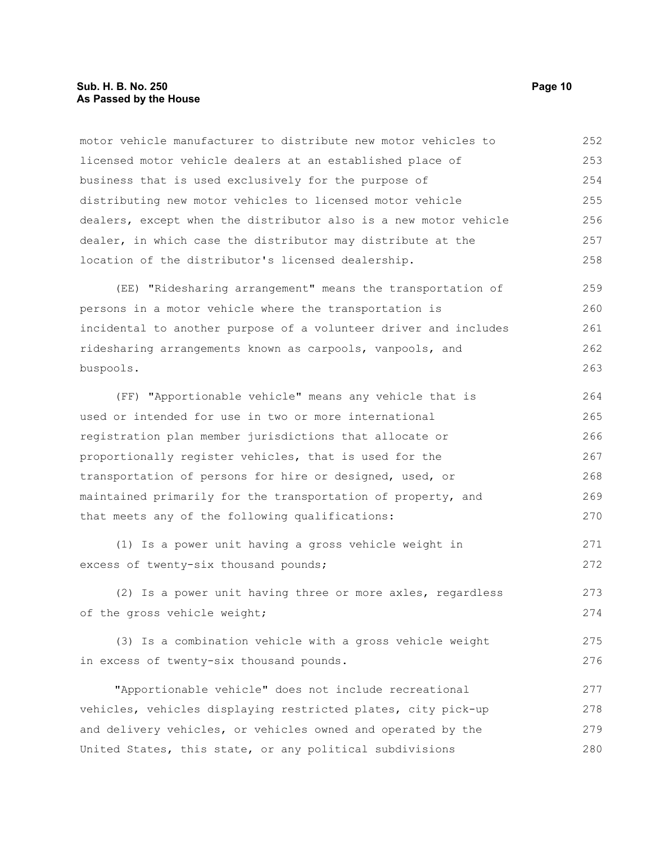#### **Sub. H. B. No. 250 Page 10 As Passed by the House**

motor vehicle manufacturer to distribute new motor vehicles to licensed motor vehicle dealers at an established place of business that is used exclusively for the purpose of distributing new motor vehicles to licensed motor vehicle dealers, except when the distributor also is a new motor vehicle dealer, in which case the distributor may distribute at the location of the distributor's licensed dealership. 252 253 254 255 256 257 258

(EE) "Ridesharing arrangement" means the transportation of persons in a motor vehicle where the transportation is incidental to another purpose of a volunteer driver and includes ridesharing arrangements known as carpools, vanpools, and buspools. 259 260 261 262 263

(FF) "Apportionable vehicle" means any vehicle that is used or intended for use in two or more international registration plan member jurisdictions that allocate or proportionally register vehicles, that is used for the transportation of persons for hire or designed, used, or maintained primarily for the transportation of property, and that meets any of the following qualifications: 264 265 266 267 268 269 270

(1) Is a power unit having a gross vehicle weight in excess of twenty-six thousand pounds; 271 272

(2) Is a power unit having three or more axles, regardless of the gross vehicle weight; 273 274

(3) Is a combination vehicle with a gross vehicle weight in excess of twenty-six thousand pounds. 275 276

"Apportionable vehicle" does not include recreational vehicles, vehicles displaying restricted plates, city pick-up and delivery vehicles, or vehicles owned and operated by the United States, this state, or any political subdivisions 277 278 279 280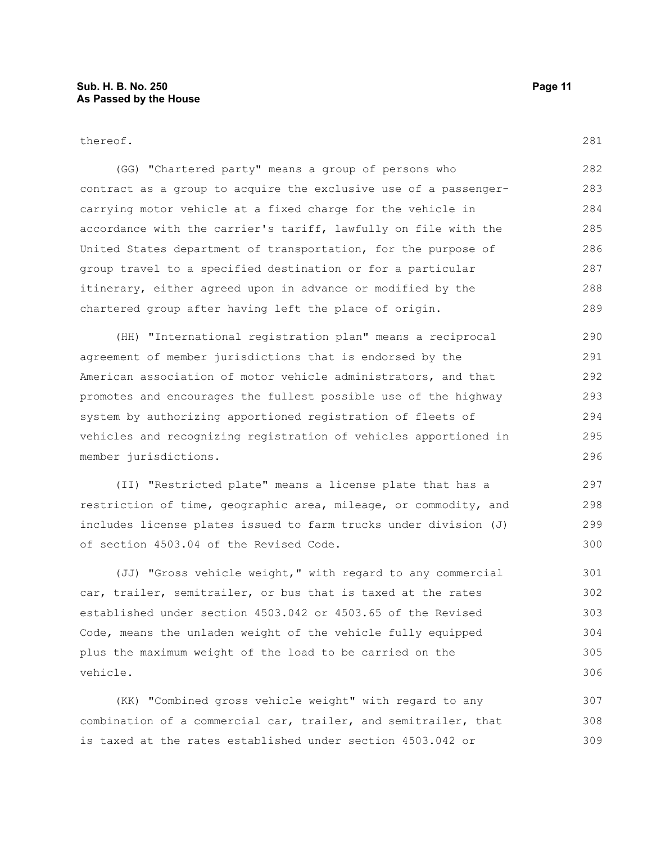#### thereof.

| (GG) "Chartered party" means a group of persons who              | 282 |
|------------------------------------------------------------------|-----|
| contract as a group to acquire the exclusive use of a passenger- | 283 |
| carrying motor vehicle at a fixed charge for the vehicle in      | 284 |
| accordance with the carrier's tariff, lawfully on file with the  | 285 |
| United States department of transportation, for the purpose of   | 286 |
| group travel to a specified destination or for a particular      | 287 |
| itinerary, either agreed upon in advance or modified by the      | 288 |
| chartered group after having left the place of origin.           | 289 |

(HH) "International registration plan" means a reciprocal agreement of member jurisdictions that is endorsed by the American association of motor vehicle administrators, and that promotes and encourages the fullest possible use of the highway system by authorizing apportioned registration of fleets of vehicles and recognizing registration of vehicles apportioned in member jurisdictions. 290 291 292 293 294 295 296

(II) "Restricted plate" means a license plate that has a restriction of time, geographic area, mileage, or commodity, and includes license plates issued to farm trucks under division (J) of section 4503.04 of the Revised Code.

(JJ) "Gross vehicle weight," with regard to any commercial car, trailer, semitrailer, or bus that is taxed at the rates established under section 4503.042 or 4503.65 of the Revised Code, means the unladen weight of the vehicle fully equipped plus the maximum weight of the load to be carried on the vehicle.

(KK) "Combined gross vehicle weight" with regard to any combination of a commercial car, trailer, and semitrailer, that is taxed at the rates established under section 4503.042 or 307 308 309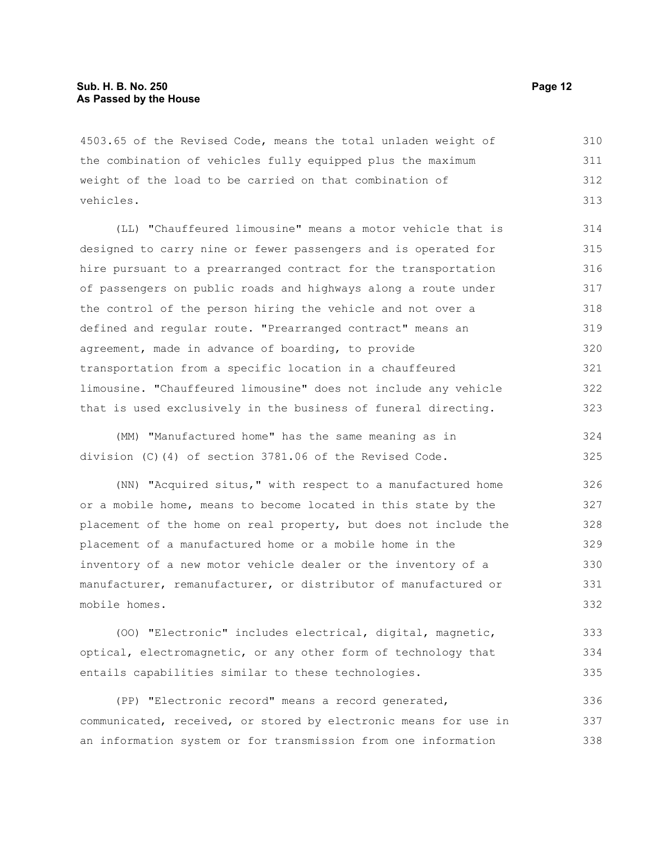4503.65 of the Revised Code, means the total unladen weight of the combination of vehicles fully equipped plus the maximum weight of the load to be carried on that combination of vehicles. 310 311 312 313

(LL) "Chauffeured limousine" means a motor vehicle that is designed to carry nine or fewer passengers and is operated for hire pursuant to a prearranged contract for the transportation of passengers on public roads and highways along a route under the control of the person hiring the vehicle and not over a defined and regular route. "Prearranged contract" means an agreement, made in advance of boarding, to provide transportation from a specific location in a chauffeured limousine. "Chauffeured limousine" does not include any vehicle that is used exclusively in the business of funeral directing. 314 315 316 317 318 319 320 321 322 323

(MM) "Manufactured home" has the same meaning as in division (C)(4) of section 3781.06 of the Revised Code. 324 325

(NN) "Acquired situs," with respect to a manufactured home or a mobile home, means to become located in this state by the placement of the home on real property, but does not include the placement of a manufactured home or a mobile home in the inventory of a new motor vehicle dealer or the inventory of a manufacturer, remanufacturer, or distributor of manufactured or mobile homes. 326 327 328 329 330 331 332

(OO) "Electronic" includes electrical, digital, magnetic, optical, electromagnetic, or any other form of technology that entails capabilities similar to these technologies. 333 334 335

(PP) "Electronic record" means a record generated, communicated, received, or stored by electronic means for use in an information system or for transmission from one information 336 337 338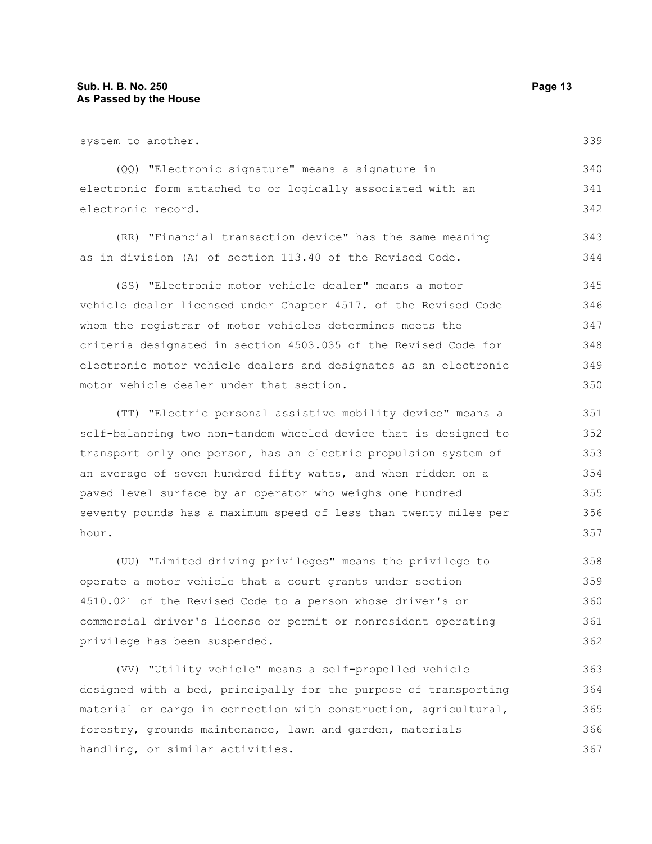system to another. (QQ) "Electronic signature" means a signature in electronic form attached to or logically associated with an electronic record. (RR) "Financial transaction device" has the same meaning as in division (A) of section 113.40 of the Revised Code. (SS) "Electronic motor vehicle dealer" means a motor vehicle dealer licensed under Chapter 4517. of the Revised Code whom the registrar of motor vehicles determines meets the criteria designated in section 4503.035 of the Revised Code for electronic motor vehicle dealers and designates as an electronic motor vehicle dealer under that section. (TT) "Electric personal assistive mobility device" means a self-balancing two non-tandem wheeled device that is designed to transport only one person, has an electric propulsion system of an average of seven hundred fifty watts, and when ridden on a paved level surface by an operator who weighs one hundred seventy pounds has a maximum speed of less than twenty miles per hour. 339 340 341 342 343 344 345 346 347 348 349 350 351 352 353 354 355 356 357

(UU) "Limited driving privileges" means the privilege to operate a motor vehicle that a court grants under section 4510.021 of the Revised Code to a person whose driver's or commercial driver's license or permit or nonresident operating privilege has been suspended. 358 359 360 361 362

(VV) "Utility vehicle" means a self-propelled vehicle designed with a bed, principally for the purpose of transporting material or cargo in connection with construction, agricultural, forestry, grounds maintenance, lawn and garden, materials handling, or similar activities. 363 364 365 366 367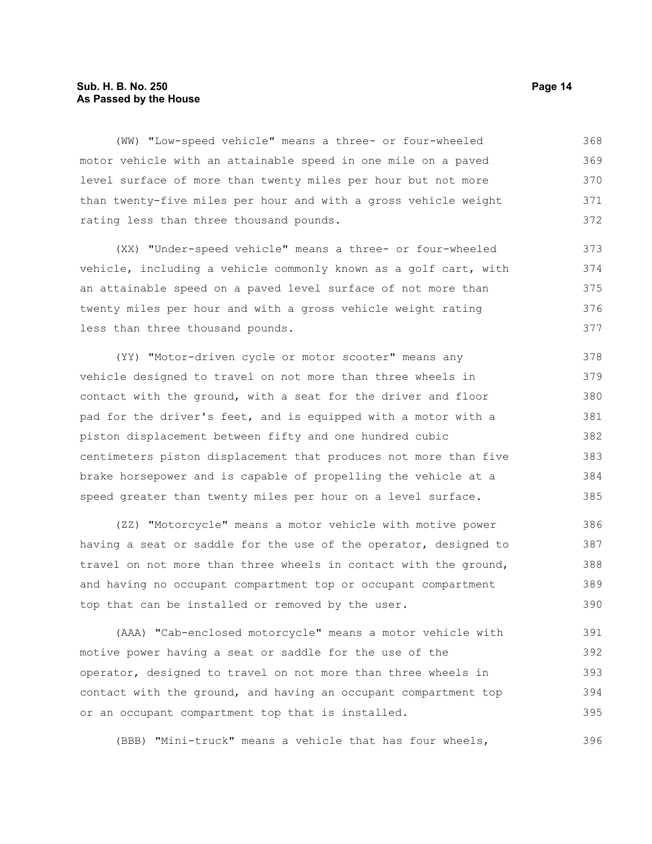#### **Sub. H. B. No. 250 Page 14 As Passed by the House**

(WW) "Low-speed vehicle" means a three- or four-wheeled motor vehicle with an attainable speed in one mile on a paved level surface of more than twenty miles per hour but not more than twenty-five miles per hour and with a gross vehicle weight rating less than three thousand pounds. 368 369 370 371 372

(XX) "Under-speed vehicle" means a three- or four-wheeled vehicle, including a vehicle commonly known as a golf cart, with an attainable speed on a paved level surface of not more than twenty miles per hour and with a gross vehicle weight rating less than three thousand pounds.

(YY) "Motor-driven cycle or motor scooter" means any vehicle designed to travel on not more than three wheels in contact with the ground, with a seat for the driver and floor pad for the driver's feet, and is equipped with a motor with a piston displacement between fifty and one hundred cubic centimeters piston displacement that produces not more than five brake horsepower and is capable of propelling the vehicle at a speed greater than twenty miles per hour on a level surface. 378 379 380 381 382 383 384 385

(ZZ) "Motorcycle" means a motor vehicle with motive power having a seat or saddle for the use of the operator, designed to travel on not more than three wheels in contact with the ground, and having no occupant compartment top or occupant compartment top that can be installed or removed by the user. 386 387 388 389 390

(AAA) "Cab-enclosed motorcycle" means a motor vehicle with motive power having a seat or saddle for the use of the operator, designed to travel on not more than three wheels in contact with the ground, and having an occupant compartment top or an occupant compartment top that is installed. 391 392 393 394 395

(BBB) "Mini-truck" means a vehicle that has four wheels, 396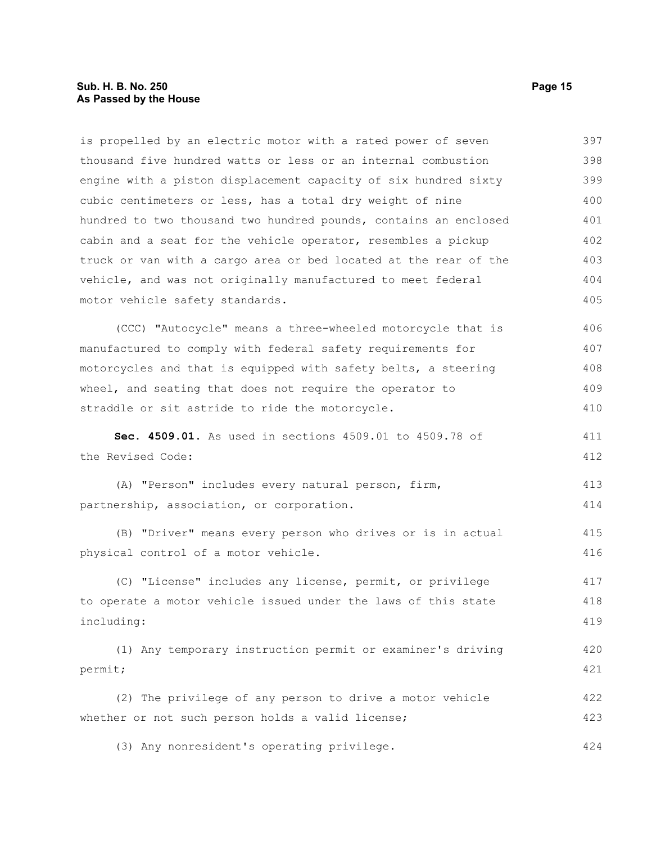#### **Sub. H. B. No. 250 Page 15 As Passed by the House**

is propelled by an electric motor with a rated power of seven thousand five hundred watts or less or an internal combustion engine with a piston displacement capacity of six hundred sixty cubic centimeters or less, has a total dry weight of nine hundred to two thousand two hundred pounds, contains an enclosed cabin and a seat for the vehicle operator, resembles a pickup truck or van with a cargo area or bed located at the rear of the vehicle, and was not originally manufactured to meet federal motor vehicle safety standards. (CCC) "Autocycle" means a three-wheeled motorcycle that is manufactured to comply with federal safety requirements for motorcycles and that is equipped with safety belts, a steering wheel, and seating that does not require the operator to straddle or sit astride to ride the motorcycle. **Sec. 4509.01.** As used in sections 4509.01 to 4509.78 of the Revised Code: (A) "Person" includes every natural person, firm, partnership, association, or corporation. (B) "Driver" means every person who drives or is in actual physical control of a motor vehicle. (C) "License" includes any license, permit, or privilege to operate a motor vehicle issued under the laws of this state including: (1) Any temporary instruction permit or examiner's driving permit; (2) The privilege of any person to drive a motor vehicle whether or not such person holds a valid license; (3) Any nonresident's operating privilege. 397 398 399 400 401 402 403 404 405 406 407 408 409 410 411 412 413 414 415 416 417 418 419 420 421 422 423 424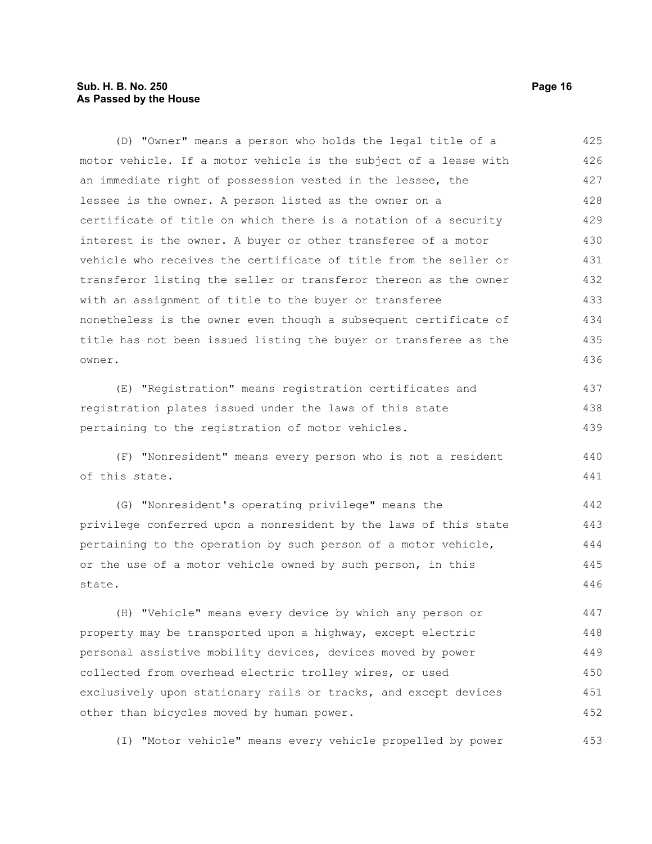#### **Sub. H. B. No. 250 Page 16 As Passed by the House**

(D) "Owner" means a person who holds the legal title of a motor vehicle. If a motor vehicle is the subject of a lease with an immediate right of possession vested in the lessee, the lessee is the owner. A person listed as the owner on a certificate of title on which there is a notation of a security interest is the owner. A buyer or other transferee of a motor vehicle who receives the certificate of title from the seller or transferor listing the seller or transferor thereon as the owner with an assignment of title to the buyer or transferee nonetheless is the owner even though a subsequent certificate of title has not been issued listing the buyer or transferee as the owner. (E) "Registration" means registration certificates and registration plates issued under the laws of this state pertaining to the registration of motor vehicles. (F) "Nonresident" means every person who is not a resident of this state. (G) "Nonresident's operating privilege" means the privilege conferred upon a nonresident by the laws of this state pertaining to the operation by such person of a motor vehicle, or the use of a motor vehicle owned by such person, in this state. (H) "Vehicle" means every device by which any person or property may be transported upon a highway, except electric personal assistive mobility devices, devices moved by power collected from overhead electric trolley wires, or used exclusively upon stationary rails or tracks, and except devices other than bicycles moved by human power. 426 427 428 429 430 431 432 433 434 435 436 437 438 439 440 441 442 443 444 445 446 447 448 449 450 451 452

(I) "Motor vehicle" means every vehicle propelled by power 453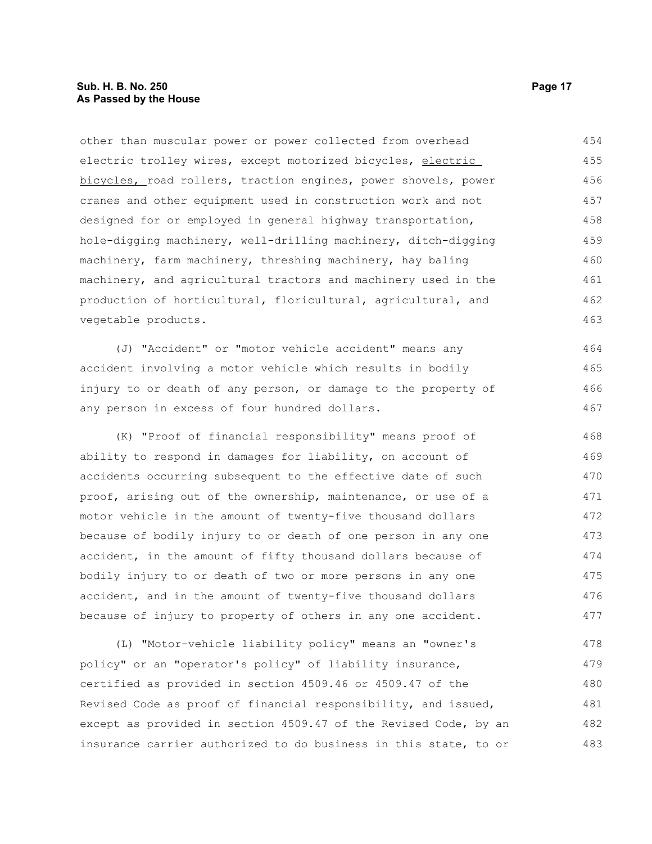#### **Sub. H. B. No. 250 Page 17 As Passed by the House**

other than muscular power or power collected from overhead electric trolley wires, except motorized bicycles, electric bicycles, road rollers, traction engines, power shovels, power cranes and other equipment used in construction work and not designed for or employed in general highway transportation, hole-digging machinery, well-drilling machinery, ditch-digging machinery, farm machinery, threshing machinery, hay baling machinery, and agricultural tractors and machinery used in the production of horticultural, floricultural, agricultural, and vegetable products. 454 455 456 457 458 459 460 461 462 463

(J) "Accident" or "motor vehicle accident" means any accident involving a motor vehicle which results in bodily injury to or death of any person, or damage to the property of any person in excess of four hundred dollars. 464 465 466 467

(K) "Proof of financial responsibility" means proof of ability to respond in damages for liability, on account of accidents occurring subsequent to the effective date of such proof, arising out of the ownership, maintenance, or use of a motor vehicle in the amount of twenty-five thousand dollars because of bodily injury to or death of one person in any one accident, in the amount of fifty thousand dollars because of bodily injury to or death of two or more persons in any one accident, and in the amount of twenty-five thousand dollars because of injury to property of others in any one accident. 468 469 470 471 472 473 474 475 476 477

(L) "Motor-vehicle liability policy" means an "owner's policy" or an "operator's policy" of liability insurance, certified as provided in section 4509.46 or 4509.47 of the Revised Code as proof of financial responsibility, and issued, except as provided in section 4509.47 of the Revised Code, by an insurance carrier authorized to do business in this state, to or 478 479 480 481 482 483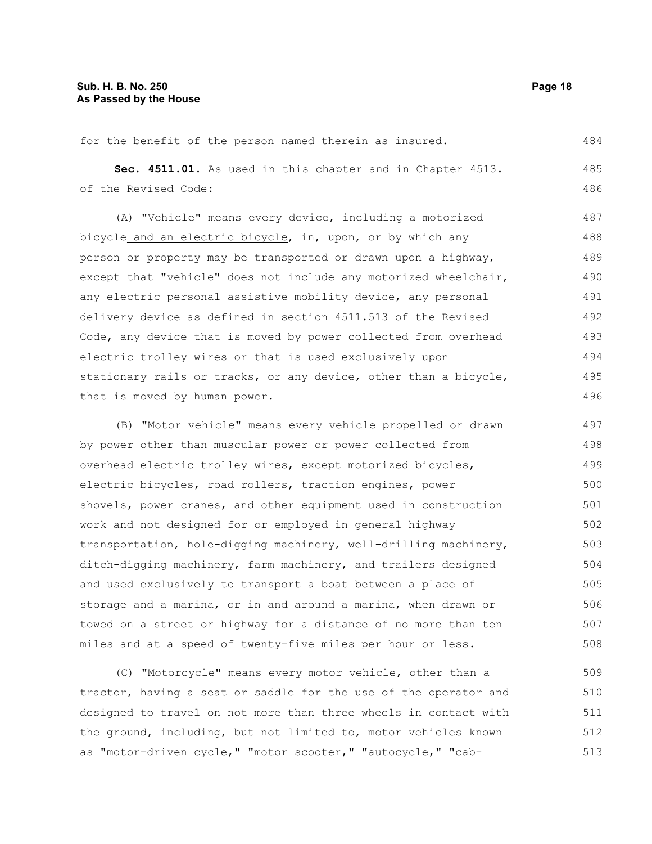for the benefit of the person named therein as insured. 484

**Sec. 4511.01.** As used in this chapter and in Chapter 4513. of the Revised Code: 485 486

(A) "Vehicle" means every device, including a motorized bicycle and an electric bicycle, in, upon, or by which any person or property may be transported or drawn upon a highway, except that "vehicle" does not include any motorized wheelchair, any electric personal assistive mobility device, any personal delivery device as defined in section 4511.513 of the Revised Code, any device that is moved by power collected from overhead electric trolley wires or that is used exclusively upon stationary rails or tracks, or any device, other than a bicycle, that is moved by human power. 487 488 489 490 491 492 493 494 495 496

(B) "Motor vehicle" means every vehicle propelled or drawn by power other than muscular power or power collected from overhead electric trolley wires, except motorized bicycles, electric bicycles, road rollers, traction engines, power shovels, power cranes, and other equipment used in construction work and not designed for or employed in general highway transportation, hole-digging machinery, well-drilling machinery, ditch-digging machinery, farm machinery, and trailers designed and used exclusively to transport a boat between a place of storage and a marina, or in and around a marina, when drawn or towed on a street or highway for a distance of no more than ten miles and at a speed of twenty-five miles per hour or less. 497 498 499 500 501 502 503 504 505 506 507 508

(C) "Motorcycle" means every motor vehicle, other than a tractor, having a seat or saddle for the use of the operator and designed to travel on not more than three wheels in contact with the ground, including, but not limited to, motor vehicles known as "motor-driven cycle," "motor scooter," "autocycle," "cab-509 510 511 512 513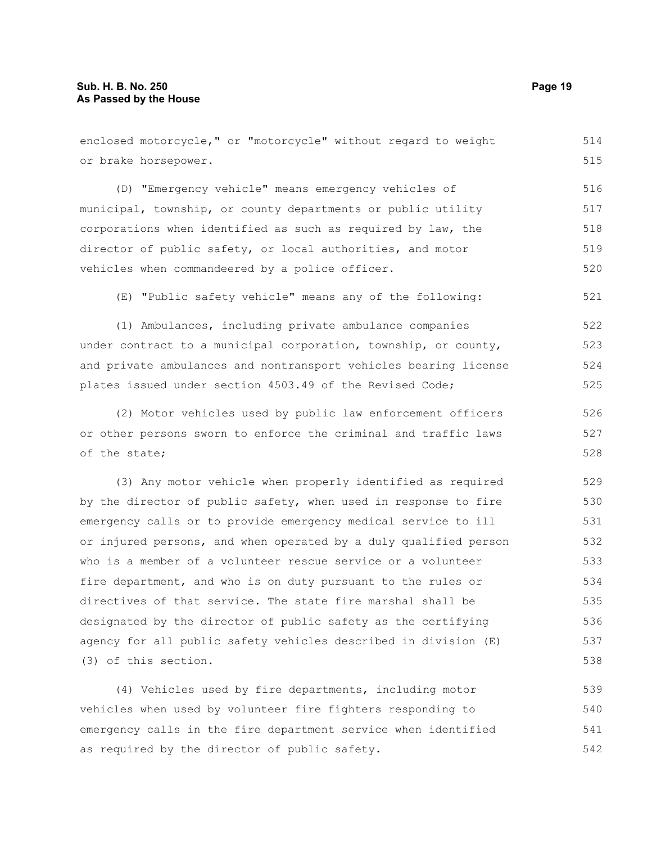enclosed motorcycle," or "motorcycle" without regard to weight or brake horsepower. (D) "Emergency vehicle" means emergency vehicles of municipal, township, or county departments or public utility corporations when identified as such as required by law, the director of public safety, or local authorities, and motor vehicles when commandeered by a police officer. (E) "Public safety vehicle" means any of the following: (1) Ambulances, including private ambulance companies under contract to a municipal corporation, township, or county, and private ambulances and nontransport vehicles bearing license plates issued under section 4503.49 of the Revised Code; (2) Motor vehicles used by public law enforcement officers or other persons sworn to enforce the criminal and traffic laws of the state; (3) Any motor vehicle when properly identified as required by the director of public safety, when used in response to fire emergency calls or to provide emergency medical service to ill or injured persons, and when operated by a duly qualified person who is a member of a volunteer rescue service or a volunteer fire department, and who is on duty pursuant to the rules or directives of that service. The state fire marshal shall be designated by the director of public safety as the certifying agency for all public safety vehicles described in division (E) (3) of this section. 514 515 516 517 518 519 520 521 522 523 524 525 526 527 528 529 530 531 532 533 534 535 536 537 538

(4) Vehicles used by fire departments, including motor vehicles when used by volunteer fire fighters responding to emergency calls in the fire department service when identified as required by the director of public safety. 539 540 541 542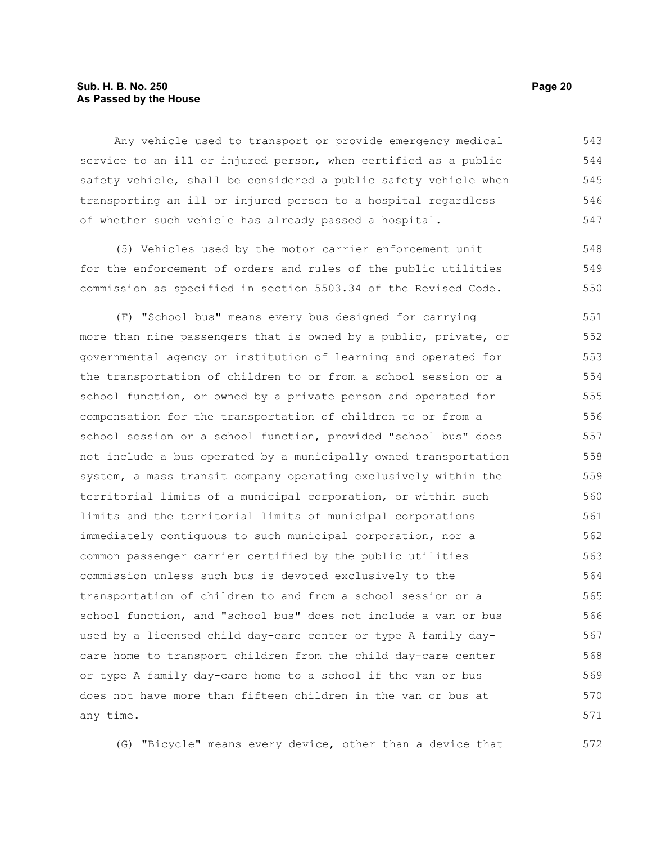#### **Sub. H. B. No. 250 Page 20 As Passed by the House**

Any vehicle used to transport or provide emergency medical service to an ill or injured person, when certified as a public safety vehicle, shall be considered a public safety vehicle when transporting an ill or injured person to a hospital regardless of whether such vehicle has already passed a hospital. 543 544 545 546 547

(5) Vehicles used by the motor carrier enforcement unit for the enforcement of orders and rules of the public utilities commission as specified in section 5503.34 of the Revised Code.

(F) "School bus" means every bus designed for carrying more than nine passengers that is owned by a public, private, or governmental agency or institution of learning and operated for the transportation of children to or from a school session or a school function, or owned by a private person and operated for compensation for the transportation of children to or from a school session or a school function, provided "school bus" does not include a bus operated by a municipally owned transportation system, a mass transit company operating exclusively within the territorial limits of a municipal corporation, or within such limits and the territorial limits of municipal corporations immediately contiguous to such municipal corporation, nor a common passenger carrier certified by the public utilities commission unless such bus is devoted exclusively to the transportation of children to and from a school session or a school function, and "school bus" does not include a van or bus used by a licensed child day-care center or type A family daycare home to transport children from the child day-care center or type A family day-care home to a school if the van or bus does not have more than fifteen children in the van or bus at any time. 551 552 553 554 555 556 557 558 559 560 561 562 563 564 565 566 567 568 569 570 571

(G) "Bicycle" means every device, other than a device that

548 549 550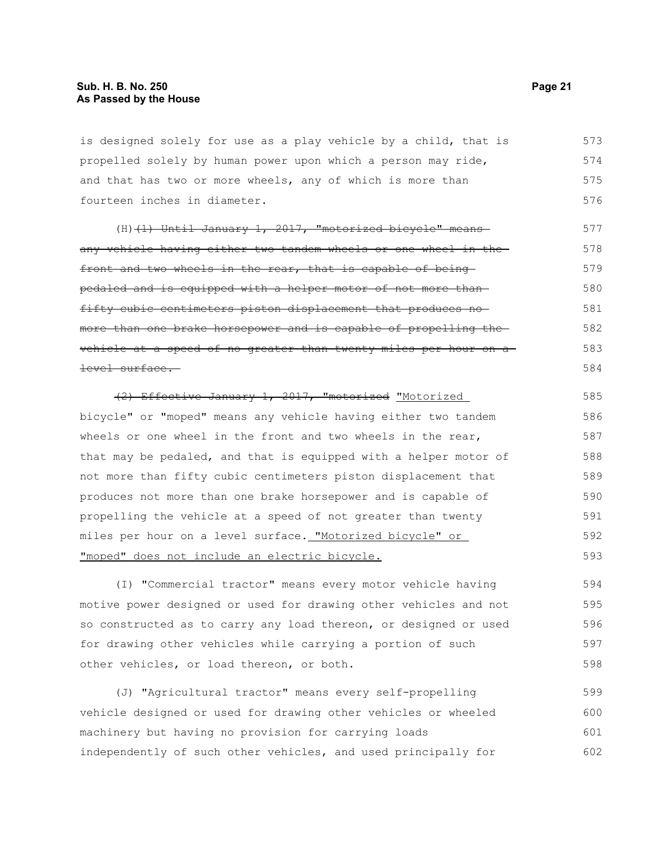is designed solely for use as a play vehicle by a child, that is propelled solely by human power upon which a person may ride, and that has two or more wheels, any of which is more than fourteen inches in diameter. 573 574 575 576

 $(H)$  (H)  $\overline{U}$  Until January 1, 2017, "motorized bicycle" means any vehicle having either two tandem wheels or one wheel in the front and two wheels in the rear, that is capable of being pedaled and is equipped with a helper motor of not more than fifty cubic centimeters piston displacement that produces no more than one brake horsepower and is capable of propelling the vehicle at a speed of no greater than twenty miles per hour on a level surface. 577 578 579 580 581 582 583 584

(2) Effective January 1, 2017, "motorized "Motorized bicycle" or "moped" means any vehicle having either two tandem wheels or one wheel in the front and two wheels in the rear, that may be pedaled, and that is equipped with a helper motor of not more than fifty cubic centimeters piston displacement that produces not more than one brake horsepower and is capable of propelling the vehicle at a speed of not greater than twenty miles per hour on a level surface. "Motorized bicycle" or "moped" does not include an electric bicycle. 585 586 587 588 589 590 591 592 593

(I) "Commercial tractor" means every motor vehicle having motive power designed or used for drawing other vehicles and not so constructed as to carry any load thereon, or designed or used for drawing other vehicles while carrying a portion of such other vehicles, or load thereon, or both.

(J) "Agricultural tractor" means every self-propelling vehicle designed or used for drawing other vehicles or wheeled machinery but having no provision for carrying loads independently of such other vehicles, and used principally for 599 600 601 602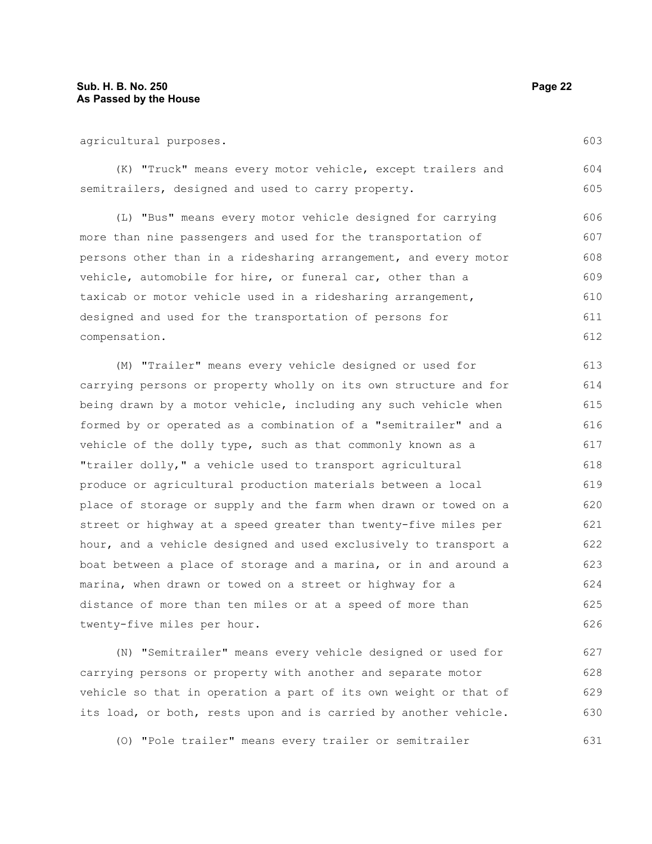agricultural purposes.

(K) "Truck" means every motor vehicle, except trailers and semitrailers, designed and used to carry property. 604 605

(L) "Bus" means every motor vehicle designed for carrying more than nine passengers and used for the transportation of persons other than in a ridesharing arrangement, and every motor vehicle, automobile for hire, or funeral car, other than a taxicab or motor vehicle used in a ridesharing arrangement, designed and used for the transportation of persons for compensation. 606 607 608 609 610 611 612

(M) "Trailer" means every vehicle designed or used for carrying persons or property wholly on its own structure and for being drawn by a motor vehicle, including any such vehicle when formed by or operated as a combination of a "semitrailer" and a vehicle of the dolly type, such as that commonly known as a "trailer dolly," a vehicle used to transport agricultural produce or agricultural production materials between a local place of storage or supply and the farm when drawn or towed on a street or highway at a speed greater than twenty-five miles per hour, and a vehicle designed and used exclusively to transport a boat between a place of storage and a marina, or in and around a marina, when drawn or towed on a street or highway for a distance of more than ten miles or at a speed of more than twenty-five miles per hour. 613 614 615 616 617 618 619 620 621 622 623 624 625 626

(N) "Semitrailer" means every vehicle designed or used for carrying persons or property with another and separate motor vehicle so that in operation a part of its own weight or that of its load, or both, rests upon and is carried by another vehicle. 627 628 629 630

(O) "Pole trailer" means every trailer or semitrailer

603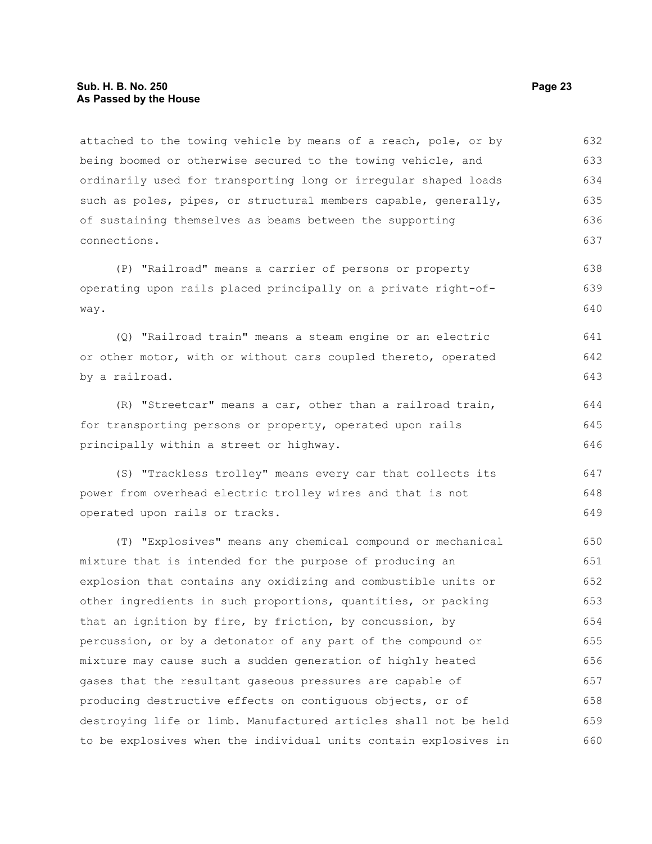attached to the towing vehicle by means of a reach, pole, or by being boomed or otherwise secured to the towing vehicle, and ordinarily used for transporting long or irregular shaped loads such as poles, pipes, or structural members capable, generally, of sustaining themselves as beams between the supporting connections. 632 633 634 635 636 637

(P) "Railroad" means a carrier of persons or property operating upon rails placed principally on a private right-ofway. 638 639 640

(Q) "Railroad train" means a steam engine or an electric or other motor, with or without cars coupled thereto, operated by a railroad. 641 642 643

(R) "Streetcar" means a car, other than a railroad train, for transporting persons or property, operated upon rails principally within a street or highway. 644 645 646

(S) "Trackless trolley" means every car that collects its power from overhead electric trolley wires and that is not operated upon rails or tracks. 647 648 649

(T) "Explosives" means any chemical compound or mechanical mixture that is intended for the purpose of producing an explosion that contains any oxidizing and combustible units or other ingredients in such proportions, quantities, or packing that an ignition by fire, by friction, by concussion, by percussion, or by a detonator of any part of the compound or mixture may cause such a sudden generation of highly heated gases that the resultant gaseous pressures are capable of producing destructive effects on contiguous objects, or of destroying life or limb. Manufactured articles shall not be held to be explosives when the individual units contain explosives in 650 651 652 653 654 655 656 657 658 659 660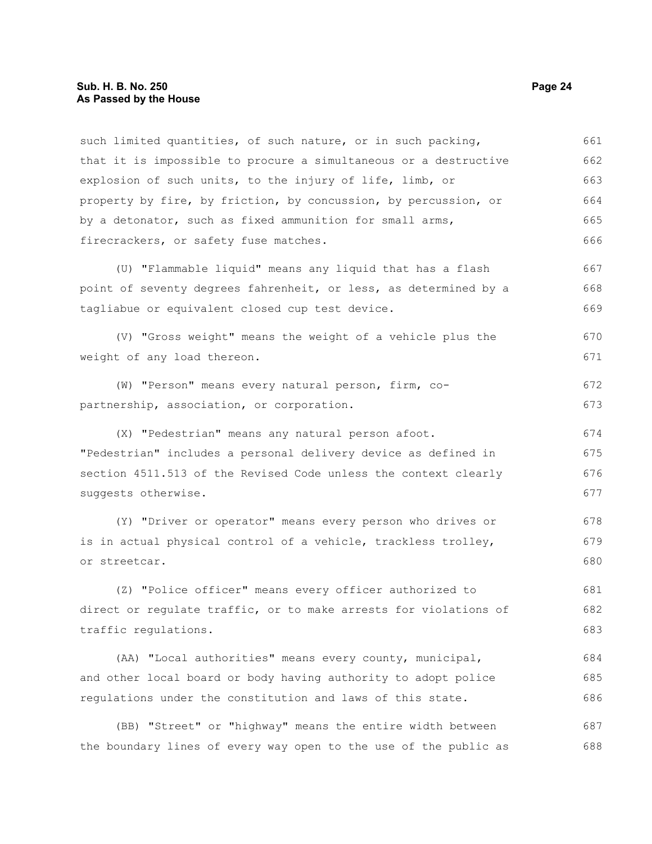#### **Sub. H. B. No. 250 Page 24 As Passed by the House**

traffic regulations.

such limited quantities, of such nature, or in such packing, that it is impossible to procure a simultaneous or a destructive explosion of such units, to the injury of life, limb, or property by fire, by friction, by concussion, by percussion, or by a detonator, such as fixed ammunition for small arms, firecrackers, or safety fuse matches. (U) "Flammable liquid" means any liquid that has a flash point of seventy degrees fahrenheit, or less, as determined by a tagliabue or equivalent closed cup test device. (V) "Gross weight" means the weight of a vehicle plus the weight of any load thereon. (W) "Person" means every natural person, firm, copartnership, association, or corporation. (X) "Pedestrian" means any natural person afoot. "Pedestrian" includes a personal delivery device as defined in section 4511.513 of the Revised Code unless the context clearly suggests otherwise. (Y) "Driver or operator" means every person who drives or is in actual physical control of a vehicle, trackless trolley, or streetcar. (Z) "Police officer" means every officer authorized to direct or regulate traffic, or to make arrests for violations of 661 662 663 664 665 666 667 668 669 670 671 672 673 674 675 676 677 678 679 680 681 682

(AA) "Local authorities" means every county, municipal, and other local board or body having authority to adopt police regulations under the constitution and laws of this state. 684 685 686

(BB) "Street" or "highway" means the entire width between the boundary lines of every way open to the use of the public as 687 688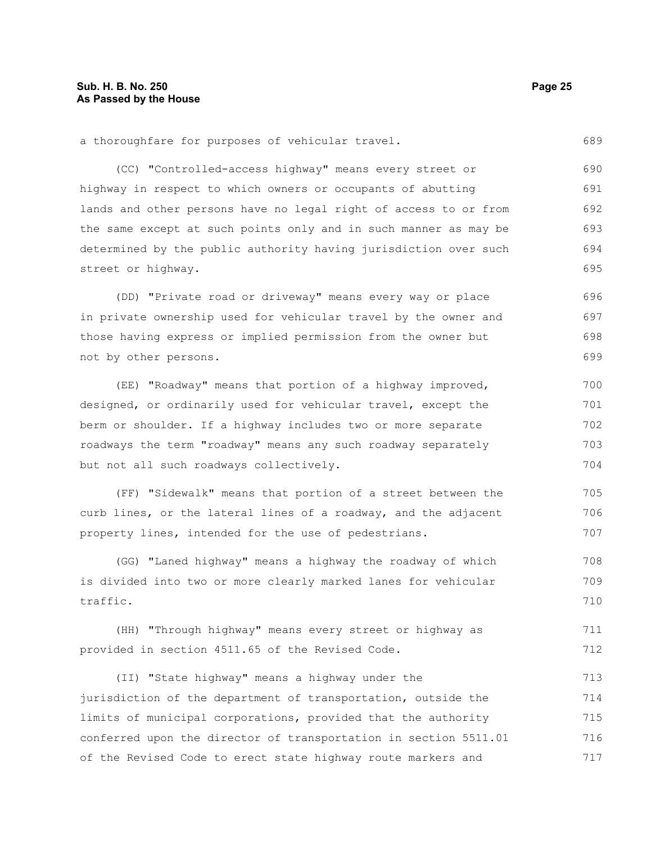689

a thoroughfare for purposes of vehicular travel.

(CC) "Controlled-access highway" means every street or highway in respect to which owners or occupants of abutting lands and other persons have no legal right of access to or from the same except at such points only and in such manner as may be determined by the public authority having jurisdiction over such street or highway. 690 691 692 693 694 695

(DD) "Private road or driveway" means every way or place in private ownership used for vehicular travel by the owner and those having express or implied permission from the owner but not by other persons. 696 697 698 699

(EE) "Roadway" means that portion of a highway improved, designed, or ordinarily used for vehicular travel, except the berm or shoulder. If a highway includes two or more separate roadways the term "roadway" means any such roadway separately but not all such roadways collectively. 700 701 702 703 704

(FF) "Sidewalk" means that portion of a street between the curb lines, or the lateral lines of a roadway, and the adjacent property lines, intended for the use of pedestrians. 705 706 707

(GG) "Laned highway" means a highway the roadway of which is divided into two or more clearly marked lanes for vehicular traffic. 708 709 710

(HH) "Through highway" means every street or highway as provided in section 4511.65 of the Revised Code. 711 712

(II) "State highway" means a highway under the jurisdiction of the department of transportation, outside the limits of municipal corporations, provided that the authority conferred upon the director of transportation in section 5511.01 of the Revised Code to erect state highway route markers and 713 714 715 716 717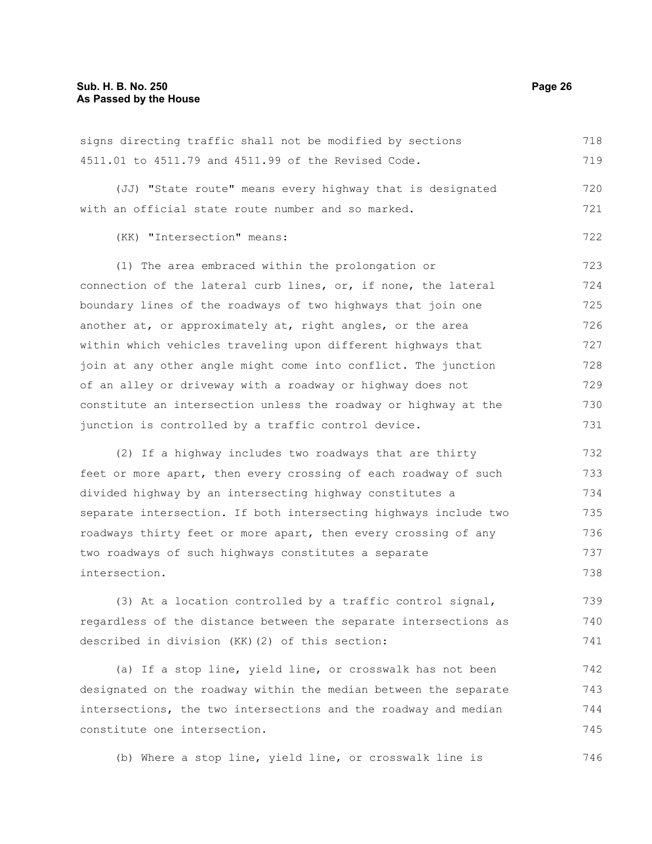signs directing traffic shall not be modified by sections 4511.01 to 4511.79 and 4511.99 of the Revised Code. (JJ) "State route" means every highway that is designated with an official state route number and so marked. (KK) "Intersection" means: (1) The area embraced within the prolongation or connection of the lateral curb lines, or, if none, the lateral boundary lines of the roadways of two highways that join one another at, or approximately at, right angles, or the area within which vehicles traveling upon different highways that join at any other angle might come into conflict. The junction of an alley or driveway with a roadway or highway does not constitute an intersection unless the roadway or highway at the junction is controlled by a traffic control device. (2) If a highway includes two roadways that are thirty feet or more apart, then every crossing of each roadway of such 718 719 720 721 722 723 724 725 726 727 728 729 730 731 732 733

divided highway by an intersecting highway constitutes a separate intersection. If both intersecting highways include two roadways thirty feet or more apart, then every crossing of any two roadways of such highways constitutes a separate intersection. 734 735 736 737 738

(3) At a location controlled by a traffic control signal, regardless of the distance between the separate intersections as described in division (KK)(2) of this section: 739 740 741

(a) If a stop line, yield line, or crosswalk has not been designated on the roadway within the median between the separate intersections, the two intersections and the roadway and median constitute one intersection. 742 743 744 745

(b) Where a stop line, yield line, or crosswalk line is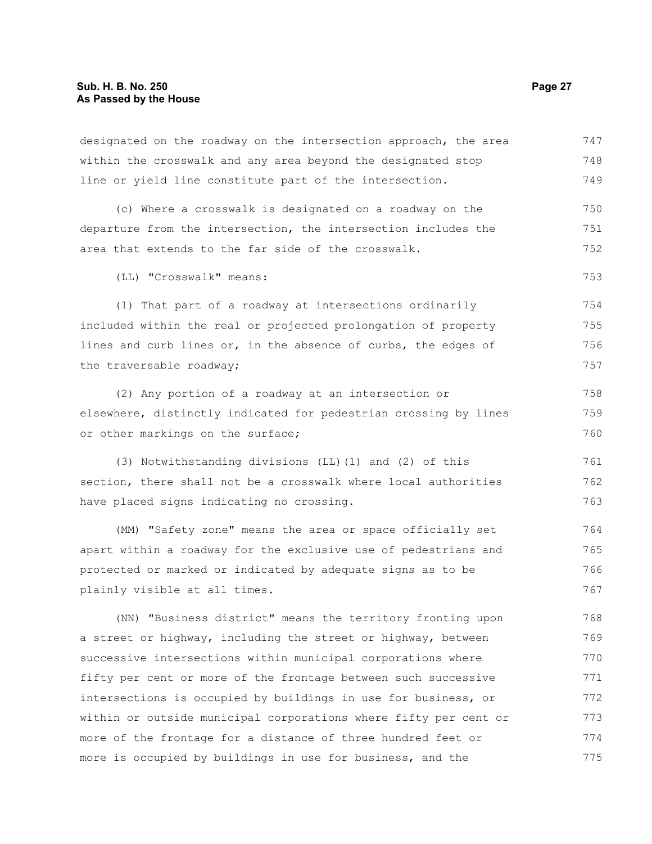within the crosswalk and any area beyond the designated stop line or yield line constitute part of the intersection. (c) Where a crosswalk is designated on a roadway on the departure from the intersection, the intersection includes the area that extends to the far side of the crosswalk. (LL) "Crosswalk" means: (1) That part of a roadway at intersections ordinarily included within the real or projected prolongation of property lines and curb lines or, in the absence of curbs, the edges of the traversable roadway; (2) Any portion of a roadway at an intersection or elsewhere, distinctly indicated for pedestrian crossing by lines or other markings on the surface; (3) Notwithstanding divisions (LL)(1) and (2) of this section, there shall not be a crosswalk where local authorities have placed signs indicating no crossing. (MM) "Safety zone" means the area or space officially set apart within a roadway for the exclusive use of pedestrians and protected or marked or indicated by adequate signs as to be plainly visible at all times. (NN) "Business district" means the territory fronting upon a street or highway, including the street or highway, between successive intersections within municipal corporations where fifty per cent or more of the frontage between such successive intersections is occupied by buildings in use for business, or within or outside municipal corporations where fifty per cent or more of the frontage for a distance of three hundred feet or 748 749 750 751 752 753 754 755 756 757 758 759 760 761 762 763 764 765 766 767 768 769 770 771 772 773 774

more is occupied by buildings in use for business, and the

designated on the roadway on the intersection approach, the area

747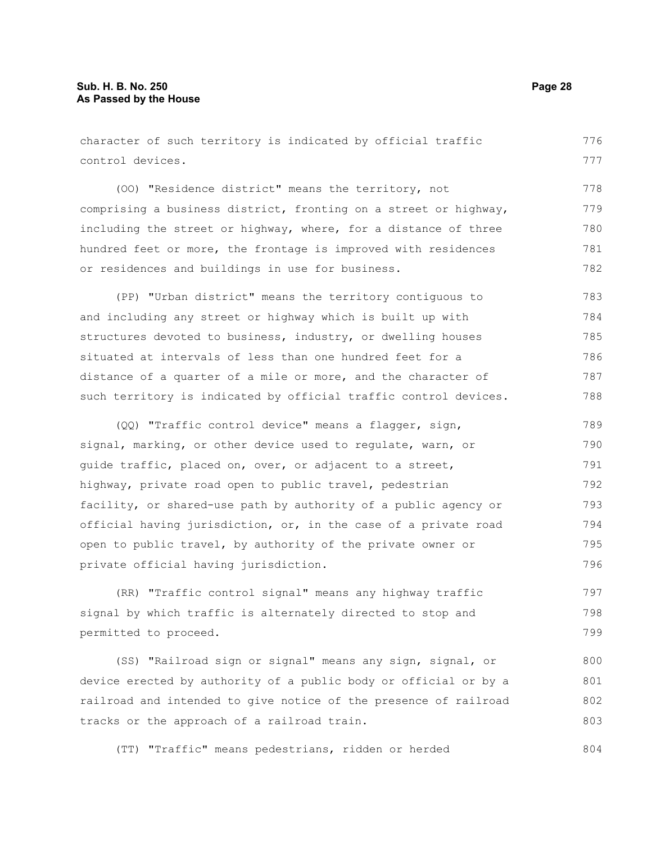character of such territory is indicated by official traffic control devices. (OO) "Residence district" means the territory, not

comprising a business district, fronting on a street or highway, including the street or highway, where, for a distance of three hundred feet or more, the frontage is improved with residences or residences and buildings in use for business. 779 780 781 782

(PP) "Urban district" means the territory contiguous to and including any street or highway which is built up with structures devoted to business, industry, or dwelling houses situated at intervals of less than one hundred feet for a distance of a quarter of a mile or more, and the character of such territory is indicated by official traffic control devices. 783 784 785 786 787 788

(QQ) "Traffic control device" means a flagger, sign, signal, marking, or other device used to regulate, warn, or guide traffic, placed on, over, or adjacent to a street, highway, private road open to public travel, pedestrian facility, or shared-use path by authority of a public agency or official having jurisdiction, or, in the case of a private road open to public travel, by authority of the private owner or private official having jurisdiction. 789 790 791 792 793 794 795 796

(RR) "Traffic control signal" means any highway traffic signal by which traffic is alternately directed to stop and permitted to proceed. 797 798 799

(SS) "Railroad sign or signal" means any sign, signal, or device erected by authority of a public body or official or by a railroad and intended to give notice of the presence of railroad tracks or the approach of a railroad train. 800 801 802 803

(TT) "Traffic" means pedestrians, ridden or herded

776 777

778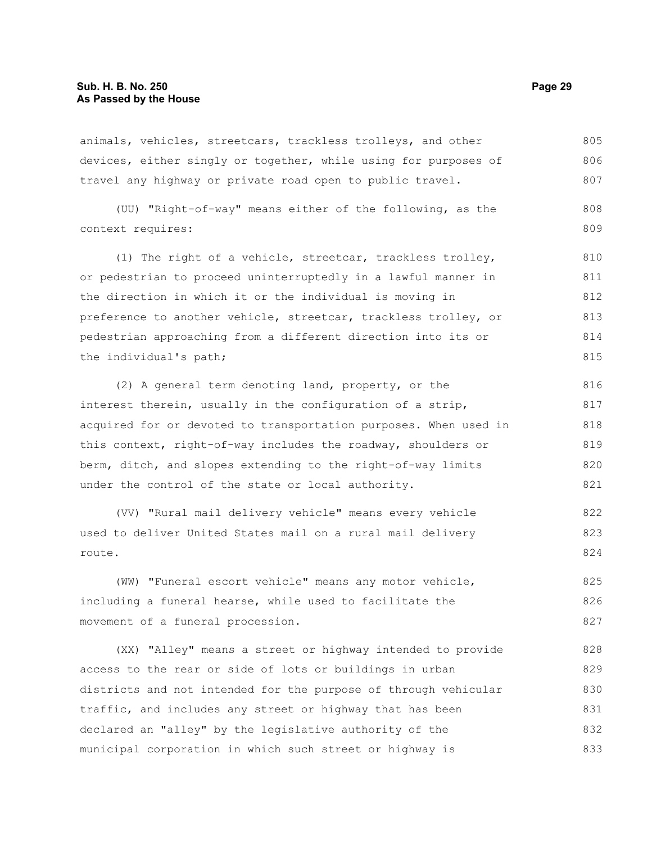animals, vehicles, streetcars, trackless trolleys, and other devices, either singly or together, while using for purposes of travel any highway or private road open to public travel. 805 806 807

(UU) "Right-of-way" means either of the following, as the context requires: 808 809

(1) The right of a vehicle, streetcar, trackless trolley, or pedestrian to proceed uninterruptedly in a lawful manner in the direction in which it or the individual is moving in preference to another vehicle, streetcar, trackless trolley, or pedestrian approaching from a different direction into its or the individual's path; 810 811 812 813 814 815

(2) A general term denoting land, property, or the interest therein, usually in the configuration of a strip, acquired for or devoted to transportation purposes. When used in this context, right-of-way includes the roadway, shoulders or berm, ditch, and slopes extending to the right-of-way limits under the control of the state or local authority. 816 817 818 819 820 821

(VV) "Rural mail delivery vehicle" means every vehicle used to deliver United States mail on a rural mail delivery route. 822 823 824

(WW) "Funeral escort vehicle" means any motor vehicle, including a funeral hearse, while used to facilitate the movement of a funeral procession. 825 826 827

(XX) "Alley" means a street or highway intended to provide access to the rear or side of lots or buildings in urban districts and not intended for the purpose of through vehicular traffic, and includes any street or highway that has been declared an "alley" by the legislative authority of the municipal corporation in which such street or highway is 828 829 830 831 832 833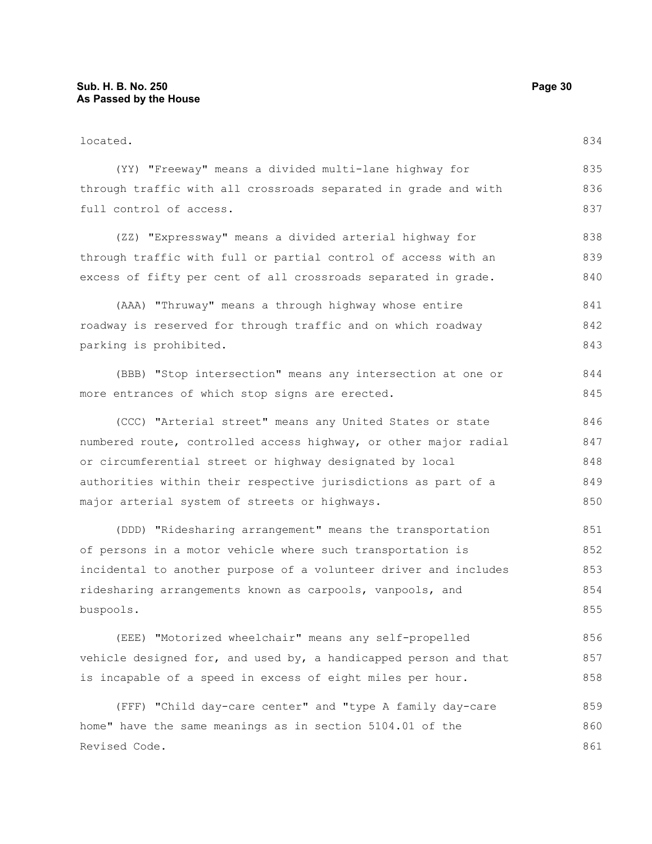located. (YY) "Freeway" means a divided multi-lane highway for through traffic with all crossroads separated in grade and with full control of access. (ZZ) "Expressway" means a divided arterial highway for through traffic with full or partial control of access with an excess of fifty per cent of all crossroads separated in grade. (AAA) "Thruway" means a through highway whose entire roadway is reserved for through traffic and on which roadway parking is prohibited. (BBB) "Stop intersection" means any intersection at one or more entrances of which stop signs are erected. (CCC) "Arterial street" means any United States or state numbered route, controlled access highway, or other major radial or circumferential street or highway designated by local authorities within their respective jurisdictions as part of a major arterial system of streets or highways. (DDD) "Ridesharing arrangement" means the transportation of persons in a motor vehicle where such transportation is incidental to another purpose of a volunteer driver and includes ridesharing arrangements known as carpools, vanpools, and buspools. (EEE) "Motorized wheelchair" means any self-propelled vehicle designed for, and used by, a handicapped person and that

(FFF) "Child day-care center" and "type A family day-care home" have the same meanings as in section 5104.01 of the Revised Code. 859 860 861

is incapable of a speed in excess of eight miles per hour.

834

835 836 837

838 839 840

841 842 843

844 845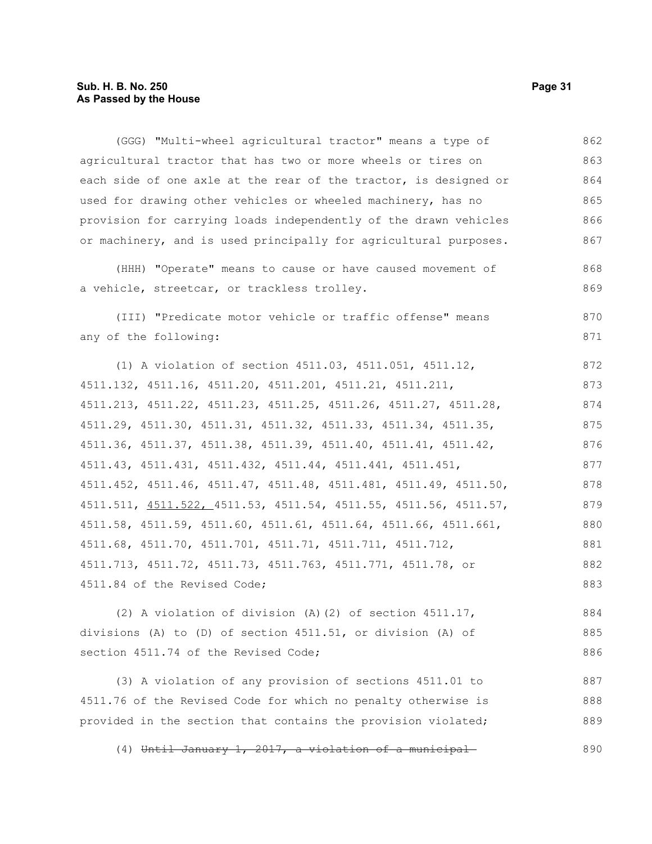### **Sub. H. B. No. 250 Page 31 As Passed by the House**

| (GGG) "Multi-wheel agricultural tractor" means a type of         | 862 |
|------------------------------------------------------------------|-----|
| agricultural tractor that has two or more wheels or tires on     | 863 |
| each side of one axle at the rear of the tractor, is designed or | 864 |
| used for drawing other vehicles or wheeled machinery, has no     | 865 |
| provision for carrying loads independently of the drawn vehicles | 866 |
| or machinery, and is used principally for agricultural purposes. | 867 |
| (HHH) "Operate" means to cause or have caused movement of        | 868 |
| a vehicle, streetcar, or trackless trolley.                      | 869 |
| (III) "Predicate motor vehicle or traffic offense" means         | 870 |
| any of the following:                                            | 871 |
| (1) A violation of section 4511.03, 4511.051, 4511.12,           | 872 |
| 4511.132, 4511.16, 4511.20, 4511.201, 4511.21, 4511.211,         | 873 |
| 4511.213, 4511.22, 4511.23, 4511.25, 4511.26, 4511.27, 4511.28,  | 874 |
| 4511.29, 4511.30, 4511.31, 4511.32, 4511.33, 4511.34, 4511.35,   | 875 |
| 4511.36, 4511.37, 4511.38, 4511.39, 4511.40, 4511.41, 4511.42,   | 876 |
| 4511.43, 4511.431, 4511.432, 4511.44, 4511.441, 4511.451,        | 877 |
| 4511.452, 4511.46, 4511.47, 4511.48, 4511.481, 4511.49, 4511.50, | 878 |
| 4511.511, 4511.522, 4511.53, 4511.54, 4511.55, 4511.56, 4511.57, | 879 |
| 4511.58, 4511.59, 4511.60, 4511.61, 4511.64, 4511.66, 4511.661,  | 880 |
| 4511.68, 4511.70, 4511.701, 4511.71, 4511.711, 4511.712,         | 881 |
| 4511.713, 4511.72, 4511.73, 4511.763, 4511.771, 4511.78, or      | 882 |
| 4511.84 of the Revised Code;                                     | 883 |
| (2) A violation of division (A)(2) of section 4511.17,           | 884 |
| divisions (A) to (D) of section 4511.51, or division (A) of      | 885 |
| section 4511.74 of the Revised Code;                             | 886 |
| (3) A violation of any provision of sections 4511.01 to          | 887 |
| 4511.76 of the Revised Code for which no penalty otherwise is    | 888 |
| provided in the section that contains the provision violated;    | 889 |
| (4) Until January 1, 2017, a violation of a municipal            | 890 |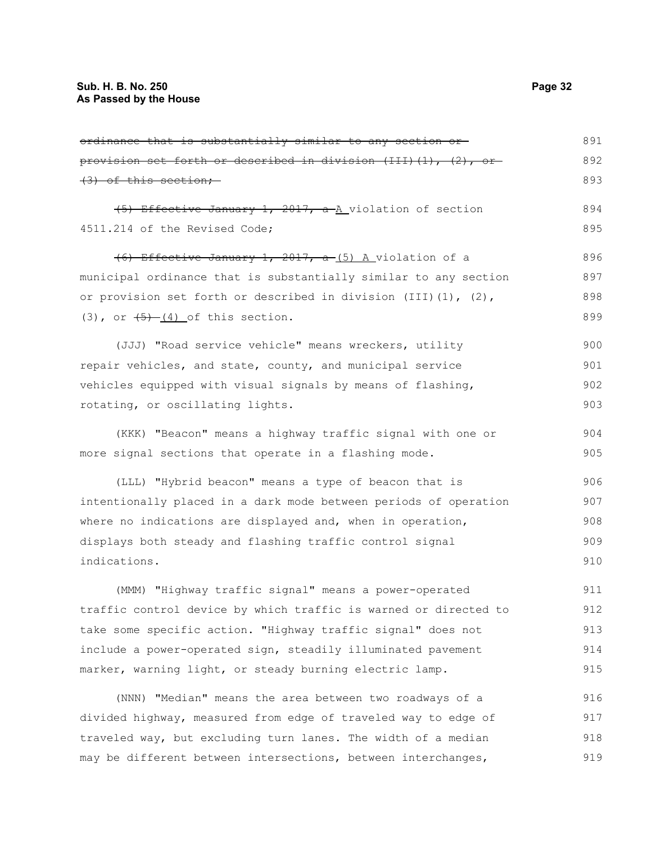| ordinance that is substantially similar to any section or-       | 891 |
|------------------------------------------------------------------|-----|
| provision set forth or described in division (III)(1), (2),      | 892 |
| (3) of this section;                                             | 893 |
| $(5)$ Effective January 1, 2017, a $A$ violation of section      | 894 |
| 4511.214 of the Revised Code;                                    | 895 |
| (6) Effective January 1, 2017, a (5) A violation of a            | 896 |
| municipal ordinance that is substantially similar to any section | 897 |
| or provision set forth or described in division (III) (1), (2),  | 898 |
| (3), or $\left(\frac{5}{9}\right)$ (4) of this section.          | 899 |
| (JJJ) "Road service vehicle" means wreckers, utility             | 900 |
| repair vehicles, and state, county, and municipal service        | 901 |
| vehicles equipped with visual signals by means of flashing,      | 902 |
| rotating, or oscillating lights.                                 | 903 |
| (KKK) "Beacon" means a highway traffic signal with one or        | 904 |
| more signal sections that operate in a flashing mode.            | 905 |
| (LLL) "Hybrid beacon" means a type of beacon that is             | 906 |
| intentionally placed in a dark mode between periods of operation | 907 |
| where no indications are displayed and, when in operation,       | 908 |
| displays both steady and flashing traffic control signal         | 909 |
| indications.                                                     | 910 |
| (MMM) "Highway traffic signal" means a power-operated            | 911 |
| traffic control device by which traffic is warned or directed to | 912 |
| take some specific action. "Highway traffic signal" does not     | 913 |
| include a power-operated sign, steadily illuminated pavement     | 914 |
| marker, warning light, or steady burning electric lamp.          | 915 |
| (NNN) "Median" means the area between two roadways of a          | 916 |
| divided highway, measured from edge of traveled way to edge of   | 917 |
| traveled way, but excluding turn lanes. The width of a median    | 918 |
| may be different between intersections, between interchanges,    | 919 |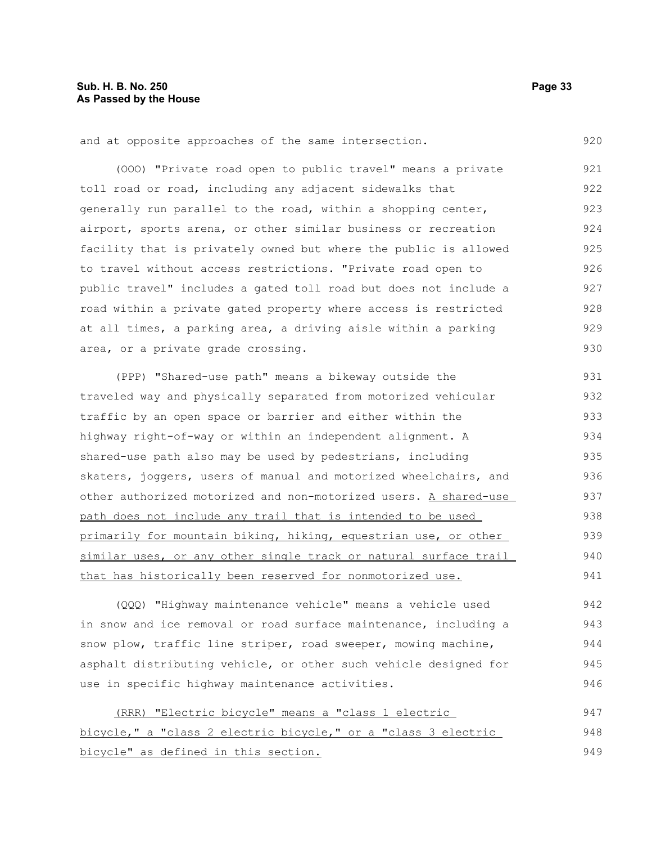and at opposite approaches of the same intersection.

(OOO) "Private road open to public travel" means a private toll road or road, including any adjacent sidewalks that generally run parallel to the road, within a shopping center, airport, sports arena, or other similar business or recreation facility that is privately owned but where the public is allowed to travel without access restrictions. "Private road open to public travel" includes a gated toll road but does not include a road within a private gated property where access is restricted at all times, a parking area, a driving aisle within a parking area, or a private grade crossing. 921 922 923 924 925 926 927 928 929 930

(PPP) "Shared-use path" means a bikeway outside the traveled way and physically separated from motorized vehicular traffic by an open space or barrier and either within the highway right-of-way or within an independent alignment. A shared-use path also may be used by pedestrians, including skaters, joggers, users of manual and motorized wheelchairs, and other authorized motorized and non-motorized users. A shared-use path does not include any trail that is intended to be used primarily for mountain biking, hiking, equestrian use, or other similar uses, or any other single track or natural surface trail that has historically been reserved for nonmotorized use. 931 932 933 934 935 936 937 938 939 940 941

(QQQ) "Highway maintenance vehicle" means a vehicle used in snow and ice removal or road surface maintenance, including a snow plow, traffic line striper, road sweeper, mowing machine, asphalt distributing vehicle, or other such vehicle designed for use in specific highway maintenance activities. 942 943 944 945 946

(RRR) "Electric bicycle" means a "class 1 electric bicycle," a "class 2 electric bicycle," or a "class 3 electric bicycle" as defined in this section. 947 948 949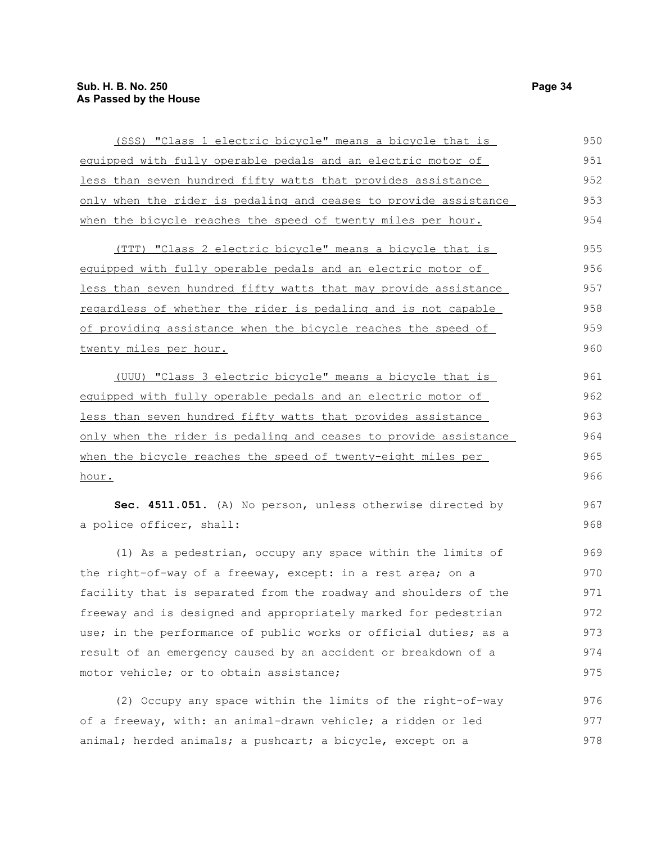| (SSS) "Class 1 electric bicycle" means a bicycle that is         | 950 |
|------------------------------------------------------------------|-----|
| equipped with fully operable pedals and an electric motor of     | 951 |
| less than seven hundred fifty watts that provides assistance     | 952 |
| only when the rider is pedaling and ceases to provide assistance | 953 |
| when the bicycle reaches the speed of twenty miles per hour.     | 954 |
| (TTT) "Class 2 electric bicycle" means a bicycle that is         | 955 |
| equipped with fully operable pedals and an electric motor of     | 956 |
| less than seven hundred fifty watts that may provide assistance  | 957 |
| regardless of whether the rider is pedaling and is not capable   | 958 |
| of providing assistance when the bicycle reaches the speed of    | 959 |
| twenty miles per hour.                                           | 960 |
| (UUU) "Class 3 electric bicycle" means a bicycle that is         | 961 |
| equipped with fully operable pedals and an electric motor of     | 962 |
| less than seven hundred fifty watts that provides assistance     | 963 |
| only when the rider is pedaling and ceases to provide assistance | 964 |
| when the bicycle reaches the speed of twenty-eight miles per     | 965 |
| <u>hour.</u>                                                     | 966 |
| Sec. 4511.051. (A) No person, unless otherwise directed by       | 967 |
| a police officer, shall:                                         | 968 |
| (1) As a pedestrian, occupy any space within the limits of       | 969 |
| the right-of-way of a freeway, except: in a rest area; on a      | 970 |
| facility that is separated from the roadway and shoulders of the | 971 |
| freeway and is designed and appropriately marked for pedestrian  | 972 |
| use; in the performance of public works or official duties; as a | 973 |
| result of an emergency caused by an accident or breakdown of a   | 974 |
| motor vehicle; or to obtain assistance;                          | 975 |
| (2) Occupy any space within the limits of the right-of-way       | 976 |
| of a freeway, with: an animal-drawn vehicle; a ridden or led     | 977 |
| animal; herded animals; a pushcart; a bicycle, except on a       | 978 |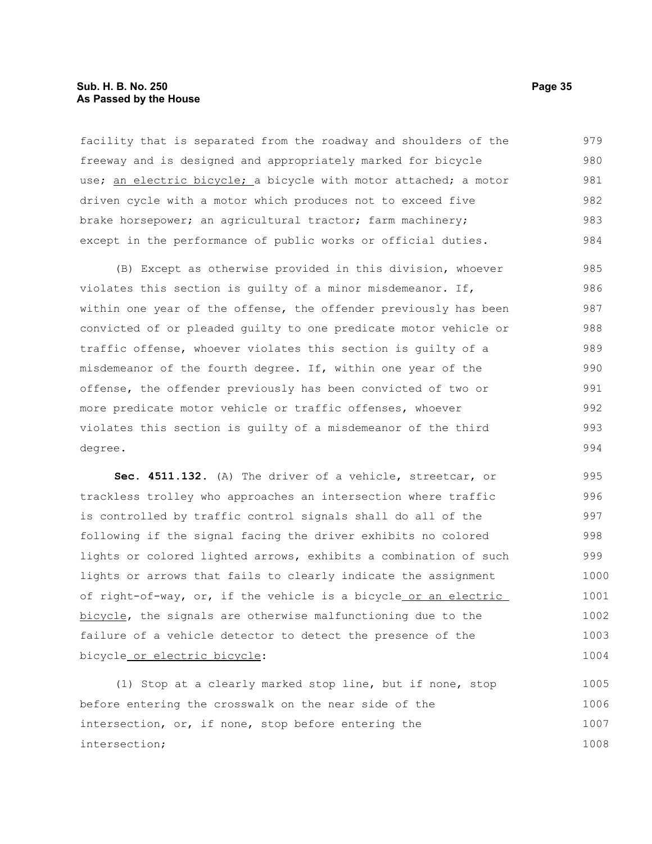#### **Sub. H. B. No. 250 Page 35 As Passed by the House**

facility that is separated from the roadway and shoulders of the freeway and is designed and appropriately marked for bicycle use; an electric bicycle; a bicycle with motor attached; a motor driven cycle with a motor which produces not to exceed five brake horsepower; an agricultural tractor; farm machinery; except in the performance of public works or official duties. 979 980 981 982 983 984

(B) Except as otherwise provided in this division, whoever violates this section is guilty of a minor misdemeanor. If, within one year of the offense, the offender previously has been convicted of or pleaded guilty to one predicate motor vehicle or traffic offense, whoever violates this section is guilty of a misdemeanor of the fourth degree. If, within one year of the offense, the offender previously has been convicted of two or more predicate motor vehicle or traffic offenses, whoever violates this section is guilty of a misdemeanor of the third degree. 985 986 987 988 989 990 991 992 993 994

**Sec. 4511.132.** (A) The driver of a vehicle, streetcar, or trackless trolley who approaches an intersection where traffic is controlled by traffic control signals shall do all of the following if the signal facing the driver exhibits no colored lights or colored lighted arrows, exhibits a combination of such lights or arrows that fails to clearly indicate the assignment of right-of-way, or, if the vehicle is a bicycle or an electric bicycle, the signals are otherwise malfunctioning due to the failure of a vehicle detector to detect the presence of the bicycle or electric bicycle: 995 996 997 998 999 1000 1001 1002 1003 1004

(1) Stop at a clearly marked stop line, but if none, stop before entering the crosswalk on the near side of the intersection, or, if none, stop before entering the intersection; 1005 1006 1007 1008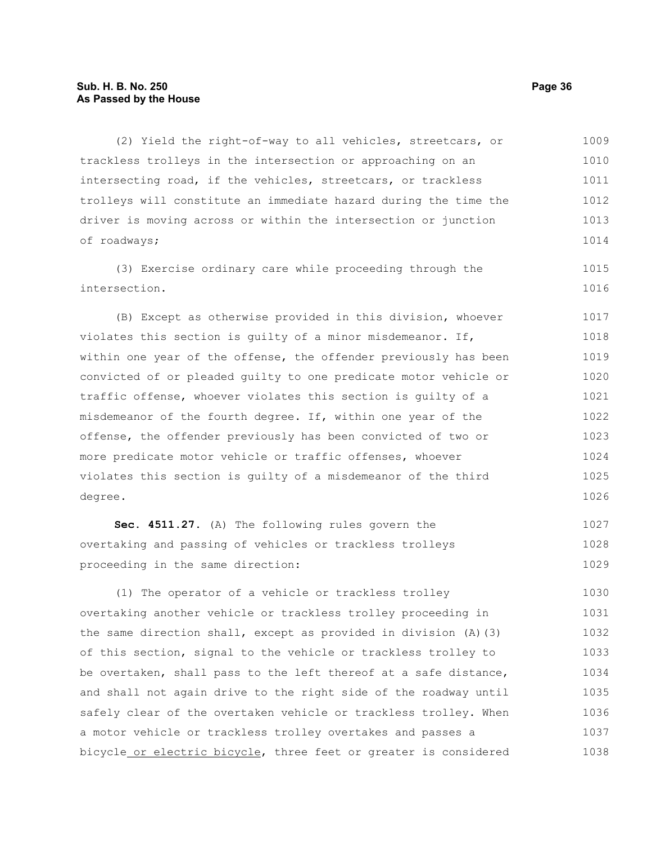#### **Sub. H. B. No. 250 Page 36 As Passed by the House**

(2) Yield the right-of-way to all vehicles, streetcars, or trackless trolleys in the intersection or approaching on an intersecting road, if the vehicles, streetcars, or trackless trolleys will constitute an immediate hazard during the time the driver is moving across or within the intersection or junction of roadways; 1009 1010 1011 1012 1013 1014

(3) Exercise ordinary care while proceeding through the intersection.

(B) Except as otherwise provided in this division, whoever violates this section is guilty of a minor misdemeanor. If, within one year of the offense, the offender previously has been convicted of or pleaded guilty to one predicate motor vehicle or traffic offense, whoever violates this section is guilty of a misdemeanor of the fourth degree. If, within one year of the offense, the offender previously has been convicted of two or more predicate motor vehicle or traffic offenses, whoever violates this section is guilty of a misdemeanor of the third degree. 1017 1018 1019 1020 1021 1022 1023 1024 1025 1026

**Sec. 4511.27.** (A) The following rules govern the overtaking and passing of vehicles or trackless trolleys proceeding in the same direction: 1027 1028 1029

(1) The operator of a vehicle or trackless trolley overtaking another vehicle or trackless trolley proceeding in the same direction shall, except as provided in division (A)(3) of this section, signal to the vehicle or trackless trolley to be overtaken, shall pass to the left thereof at a safe distance, and shall not again drive to the right side of the roadway until safely clear of the overtaken vehicle or trackless trolley. When a motor vehicle or trackless trolley overtakes and passes a bicycle or electric bicycle, three feet or greater is considered 1030 1031 1032 1033 1034 1035 1036 1037 1038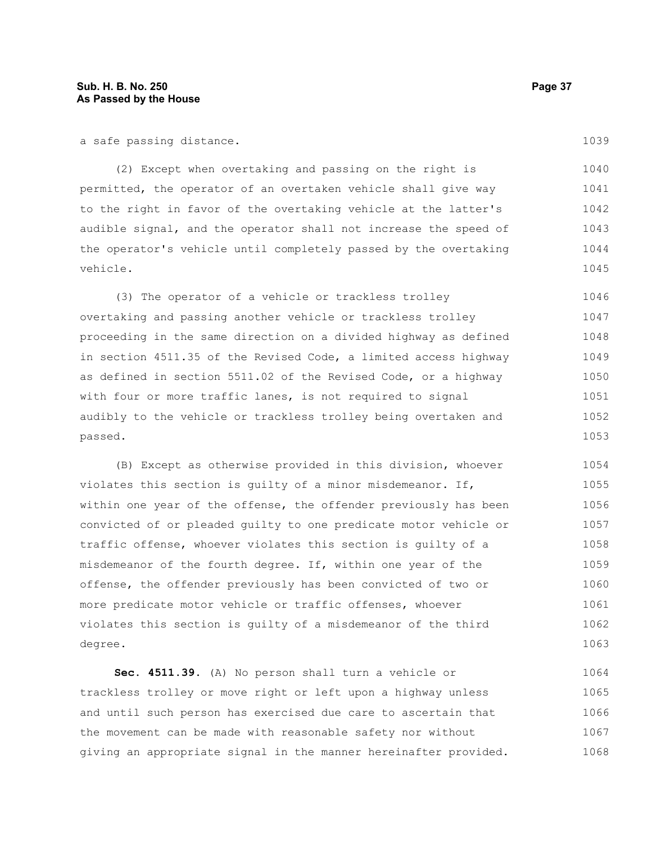a safe passing distance.

(2) Except when overtaking and passing on the right is permitted, the operator of an overtaken vehicle shall give way to the right in favor of the overtaking vehicle at the latter's audible signal, and the operator shall not increase the speed of the operator's vehicle until completely passed by the overtaking vehicle. 1040 1041 1042 1043 1044 1045

(3) The operator of a vehicle or trackless trolley overtaking and passing another vehicle or trackless trolley proceeding in the same direction on a divided highway as defined in section 4511.35 of the Revised Code, a limited access highway as defined in section 5511.02 of the Revised Code, or a highway with four or more traffic lanes, is not required to signal audibly to the vehicle or trackless trolley being overtaken and passed. 1046 1047 1048 1049 1050 1051 1052 1053

(B) Except as otherwise provided in this division, whoever violates this section is guilty of a minor misdemeanor. If, within one year of the offense, the offender previously has been convicted of or pleaded guilty to one predicate motor vehicle or traffic offense, whoever violates this section is guilty of a misdemeanor of the fourth degree. If, within one year of the offense, the offender previously has been convicted of two or more predicate motor vehicle or traffic offenses, whoever violates this section is guilty of a misdemeanor of the third degree. 1054 1055 1056 1057 1058 1059 1060 1061 1062 1063

**Sec. 4511.39.** (A) No person shall turn a vehicle or trackless trolley or move right or left upon a highway unless and until such person has exercised due care to ascertain that the movement can be made with reasonable safety nor without giving an appropriate signal in the manner hereinafter provided. 1064 1065 1066 1067 1068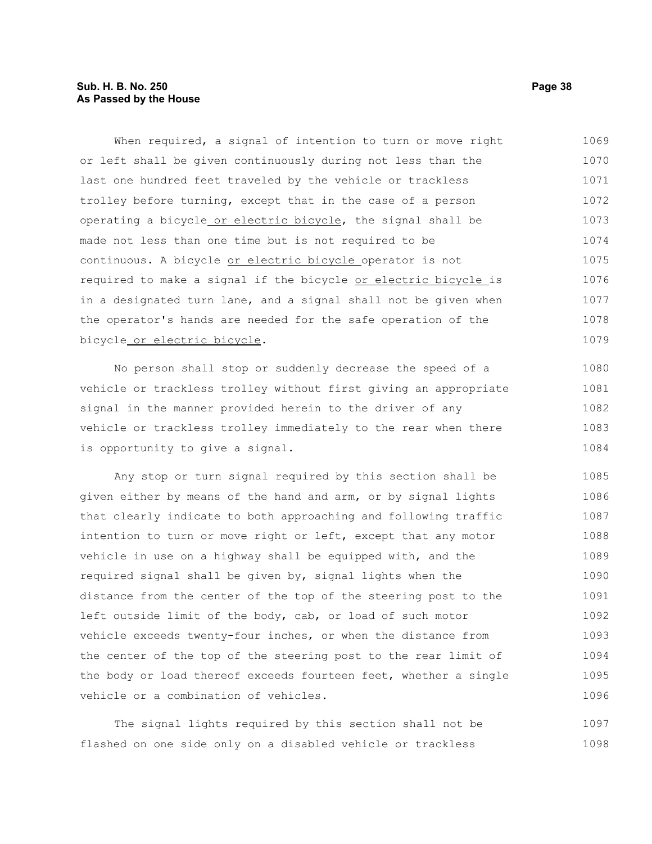#### **Sub. H. B. No. 250 Page 38 As Passed by the House**

When required, a signal of intention to turn or move right or left shall be given continuously during not less than the last one hundred feet traveled by the vehicle or trackless trolley before turning, except that in the case of a person operating a bicycle or electric bicycle, the signal shall be made not less than one time but is not required to be continuous. A bicycle or electric bicycle operator is not required to make a signal if the bicycle or electric bicycle is in a designated turn lane, and a signal shall not be given when the operator's hands are needed for the safe operation of the bicycle or electric bicycle. 1069 1070 1071 1072 1073 1074 1075 1076 1077 1078 1079

No person shall stop or suddenly decrease the speed of a vehicle or trackless trolley without first giving an appropriate signal in the manner provided herein to the driver of any vehicle or trackless trolley immediately to the rear when there is opportunity to give a signal. 1080 1081 1082 1083 1084

Any stop or turn signal required by this section shall be given either by means of the hand and arm, or by signal lights that clearly indicate to both approaching and following traffic intention to turn or move right or left, except that any motor vehicle in use on a highway shall be equipped with, and the required signal shall be given by, signal lights when the distance from the center of the top of the steering post to the left outside limit of the body, cab, or load of such motor vehicle exceeds twenty-four inches, or when the distance from the center of the top of the steering post to the rear limit of the body or load thereof exceeds fourteen feet, whether a single vehicle or a combination of vehicles. 1085 1086 1087 1088 1089 1090 1091 1092 1093 1094 1095 1096

The signal lights required by this section shall not be flashed on one side only on a disabled vehicle or trackless 1097 1098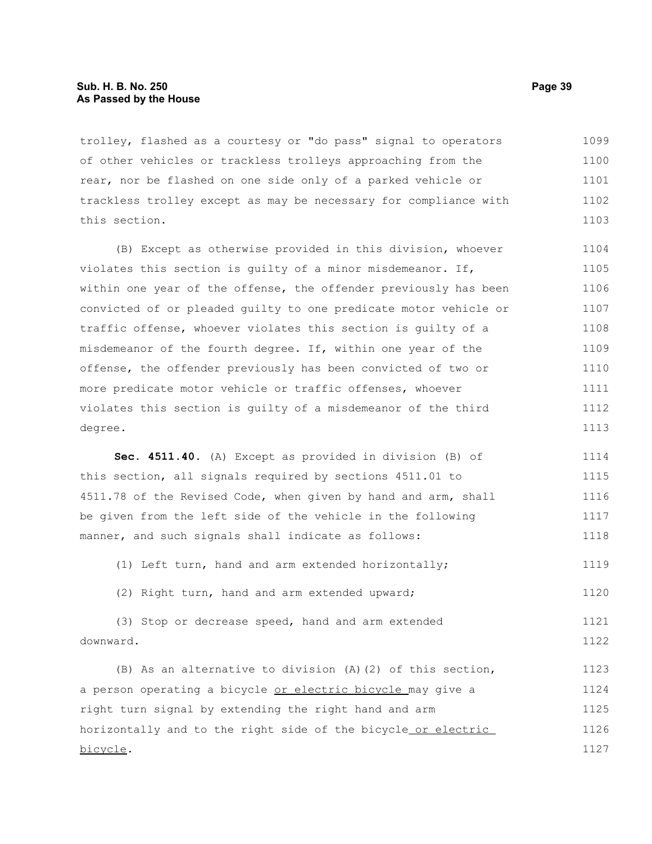#### **Sub. H. B. No. 250 Page 39 As Passed by the House**

trolley, flashed as a courtesy or "do pass" signal to operators of other vehicles or trackless trolleys approaching from the rear, nor be flashed on one side only of a parked vehicle or trackless trolley except as may be necessary for compliance with this section. 1099 1100 1101 1102 1103

(B) Except as otherwise provided in this division, whoever violates this section is guilty of a minor misdemeanor. If, within one year of the offense, the offender previously has been convicted of or pleaded guilty to one predicate motor vehicle or traffic offense, whoever violates this section is guilty of a misdemeanor of the fourth degree. If, within one year of the offense, the offender previously has been convicted of two or more predicate motor vehicle or traffic offenses, whoever violates this section is guilty of a misdemeanor of the third degree. 1104 1105 1106 1107 1108 1109 1110 1111 1112 1113

**Sec. 4511.40.** (A) Except as provided in division (B) of this section, all signals required by sections 4511.01 to 4511.78 of the Revised Code, when given by hand and arm, shall be given from the left side of the vehicle in the following manner, and such signals shall indicate as follows: 1114 1115 1116 1117 1118

(1) Left turn, hand and arm extended horizontally; 1119

(2) Right turn, hand and arm extended upward;

(3) Stop or decrease speed, hand and arm extended downward. 1121 1122

(B) As an alternative to division (A)(2) of this section, a person operating a bicycle or electric bicycle may give a right turn signal by extending the right hand and arm horizontally and to the right side of the bicycle or electric bicycle. 1123 1124 1125 1126 1127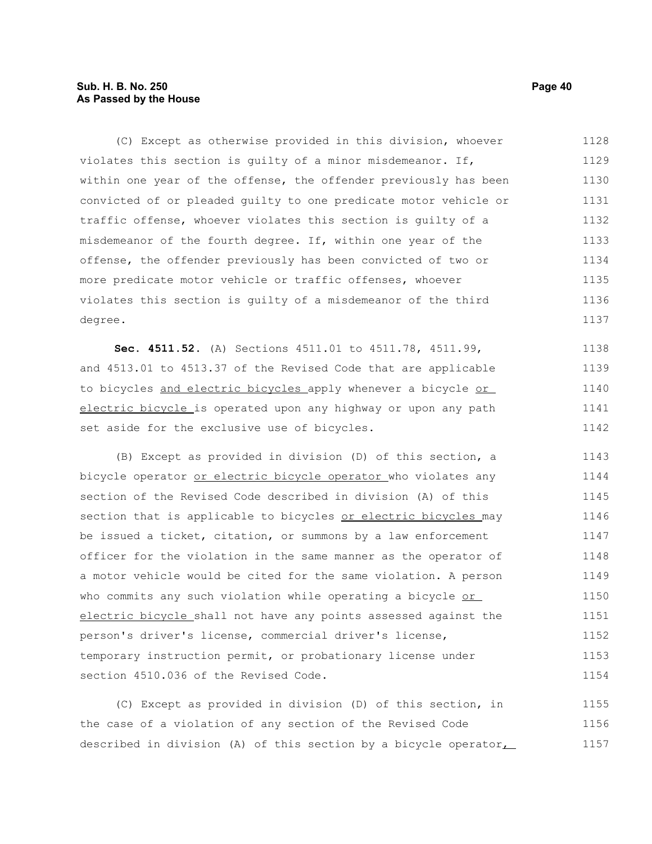#### **Sub. H. B. No. 250 Page 40 As Passed by the House**

(C) Except as otherwise provided in this division, whoever violates this section is guilty of a minor misdemeanor. If, within one year of the offense, the offender previously has been convicted of or pleaded guilty to one predicate motor vehicle or traffic offense, whoever violates this section is guilty of a misdemeanor of the fourth degree. If, within one year of the offense, the offender previously has been convicted of two or more predicate motor vehicle or traffic offenses, whoever violates this section is guilty of a misdemeanor of the third degree. 1128 1129 1130 1131 1132 1133 1134 1135 1136 1137

**Sec. 4511.52.** (A) Sections 4511.01 to 4511.78, 4511.99, and 4513.01 to 4513.37 of the Revised Code that are applicable to bicycles and electric bicycles apply whenever a bicycle or electric bicycle is operated upon any highway or upon any path set aside for the exclusive use of bicycles. 1138 1139 1140 1141 1142

(B) Except as provided in division (D) of this section, a bicycle operator or electric bicycle operator who violates any section of the Revised Code described in division (A) of this section that is applicable to bicycles or electric bicycles may be issued a ticket, citation, or summons by a law enforcement officer for the violation in the same manner as the operator of a motor vehicle would be cited for the same violation. A person who commits any such violation while operating a bicycle or electric bicycle shall not have any points assessed against the person's driver's license, commercial driver's license, temporary instruction permit, or probationary license under section 4510.036 of the Revised Code. 1143 1144 1145 1146 1147 1148 1149 1150 1151 1152 1153 1154

(C) Except as provided in division (D) of this section, in the case of a violation of any section of the Revised Code described in division (A) of this section by a bicycle operator, 1155 1156 1157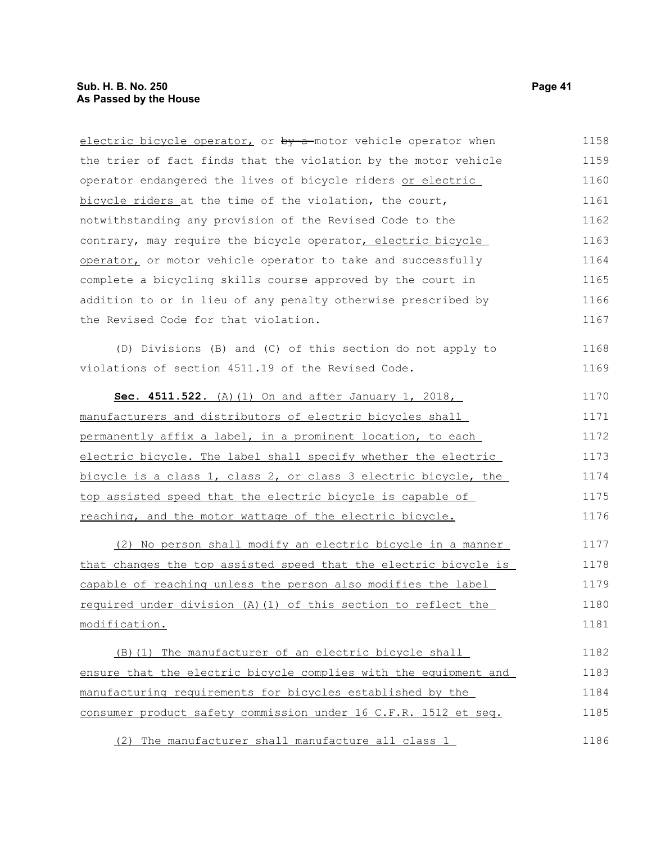| electric bicycle operator, or by a motor vehicle operator when   | 1158 |
|------------------------------------------------------------------|------|
| the trier of fact finds that the violation by the motor vehicle  | 1159 |
| operator endangered the lives of bicycle riders or electric      | 1160 |
| bicycle riders at the time of the violation, the court,          | 1161 |
| notwithstanding any provision of the Revised Code to the         | 1162 |
| contrary, may require the bicycle operator, electric bicycle     | 1163 |
| operator, or motor vehicle operator to take and successfully     | 1164 |
| complete a bicycling skills course approved by the court in      | 1165 |
| addition to or in lieu of any penalty otherwise prescribed by    | 1166 |
| the Revised Code for that violation.                             | 1167 |
| (D) Divisions (B) and (C) of this section do not apply to        | 1168 |
| violations of section 4511.19 of the Revised Code.               | 1169 |
| Sec. 4511.522. (A) (1) On and after January 1, 2018,             | 1170 |
| manufacturers and distributors of electric bicycles shall        | 1171 |
| permanently affix a label, in a prominent location, to each      | 1172 |
| electric bicycle. The label shall specify whether the electric   | 1173 |
| bicycle is a class 1, class 2, or class 3 electric bicycle, the  | 1174 |
| top assisted speed that the electric bicycle is capable of       | 1175 |
| reaching, and the motor wattage of the electric bicycle.         | 1176 |
| (2) No person shall modify an electric bicycle in a manner       | 1177 |
| that changes the top assisted speed that the electric bicycle is | 1178 |
| capable of reaching unless the person also modifies the label    | 1179 |
| required under division (A) (1) of this section to reflect the   | 1180 |
| modification.                                                    | 1181 |
| (B) (1) The manufacturer of an electric bicycle shall            | 1182 |
| ensure that the electric bicycle complies with the equipment and | 1183 |
| manufacturing requirements for bicycles established by the       | 1184 |
| consumer product safety commission under 16 C.F.R. 1512 et seq.  | 1185 |
| (2) The manufacturer shall manufacture all class 1               | 1186 |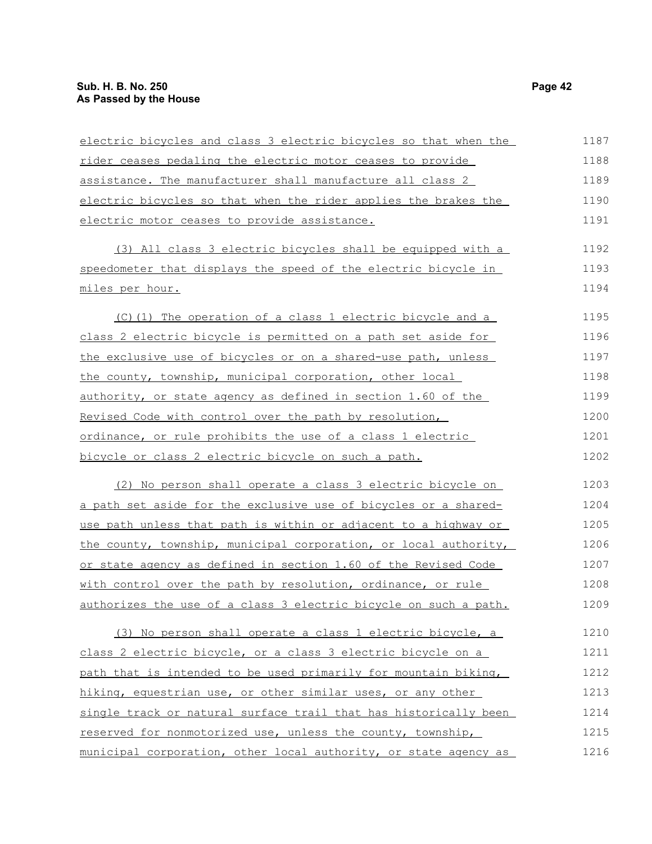| electric bicycles and class 3 electric bicycles so that when the | 1187 |
|------------------------------------------------------------------|------|
| rider ceases pedaling the electric motor ceases to provide       | 1188 |
| assistance. The manufacturer shall manufacture all class 2       | 1189 |
| electric bicycles so that when the rider applies the brakes the  | 1190 |
| electric motor ceases to provide assistance.                     | 1191 |
| (3) All class 3 electric bicycles shall be equipped with a       | 1192 |
| speedometer that displays the speed of the electric bicycle in   | 1193 |
| miles per hour.                                                  | 1194 |
| (C)(1) The operation of a class 1 electric bicycle and a         | 1195 |
| class 2 electric bicycle is permitted on a path set aside for    | 1196 |
| the exclusive use of bicycles or on a shared-use path, unless    | 1197 |
| the county, township, municipal corporation, other local         | 1198 |
| authority, or state agency as defined in section 1.60 of the     | 1199 |
| Revised Code with control over the path by resolution,           | 1200 |
| ordinance, or rule prohibits the use of a class 1 electric       | 1201 |
| bicycle or class 2 electric bicycle on such a path.              | 1202 |
| (2) No person shall operate a class 3 electric bicycle on        | 1203 |
| a path set aside for the exclusive use of bicycles or a shared-  | 1204 |
| use path unless that path is within or adjacent to a highway or  | 1205 |
| the county, township, municipal corporation, or local authority, | 1206 |
| or state agency as defined in section 1.60 of the Revised Code   | 1207 |
| with control over the path by resolution, ordinance, or rule     | 1208 |
| authorizes the use of a class 3 electric bicycle on such a path. | 1209 |
| (3) No person shall operate a class 1 electric bicycle, a        | 1210 |
| class 2 electric bicycle, or a class 3 electric bicycle on a     | 1211 |
| path that is intended to be used primarily for mountain biking,  | 1212 |
| hiking, equestrian use, or other similar uses, or any other      | 1213 |
| single track or natural surface trail that has historically been | 1214 |
| reserved for nonmotorized use, unless the county, township,      | 1215 |
| municipal corporation, other local authority, or state agency as | 1216 |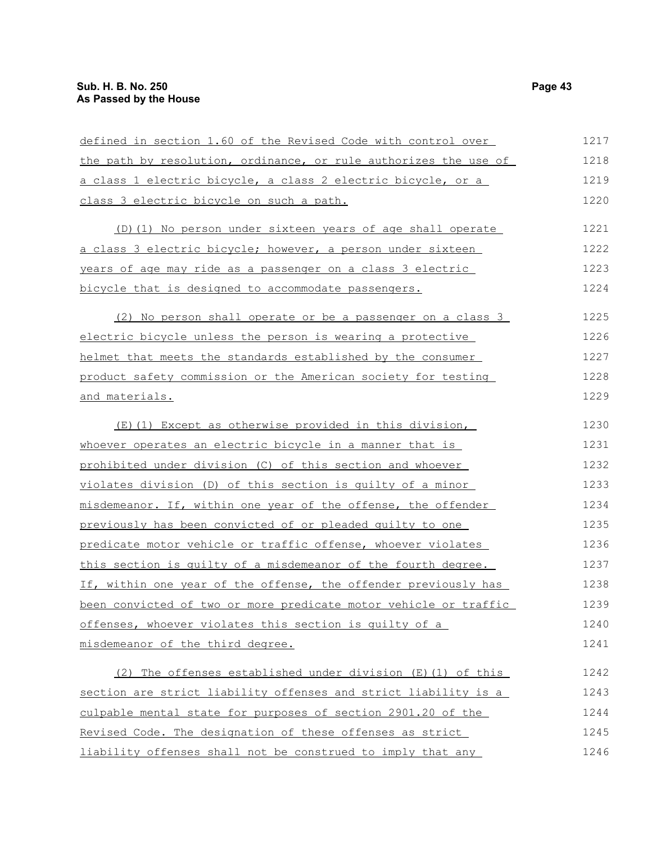| defined in section 1.60 of the Revised Code with control over    | 1217 |
|------------------------------------------------------------------|------|
| the path by resolution, ordinance, or rule authorizes the use of | 1218 |
| a class 1 electric bicycle, a class 2 electric bicycle, or a     | 1219 |
| class 3 electric bicycle on such a path.                         | 1220 |
| (D)(1) No person under sixteen years of age shall operate        | 1221 |
| a class 3 electric bicycle; however, a person under sixteen      | 1222 |
| years of age may ride as a passenger on a class 3 electric       | 1223 |
| bicycle that is designed to accommodate passengers.              | 1224 |
| (2) No person shall operate or be a passenger on a class 3       | 1225 |
| electric bicycle unless the person is wearing a protective       | 1226 |
| helmet that meets the standards established by the consumer      | 1227 |
| product safety commission or the American society for testing    | 1228 |
| <u>and materials.</u>                                            | 1229 |
| (E)(1) Except as otherwise provided in this division,            | 1230 |
| whoever operates an electric bicycle in a manner that is         | 1231 |
| prohibited under division (C) of this section and whoever        | 1232 |
| violates division (D) of this section is quilty of a minor       | 1233 |
| misdemeanor. If, within one year of the offense, the offender    | 1234 |
| previously has been convicted of or pleaded quilty to one        | 1235 |
| predicate motor vehicle or traffic offense, whoever violates     | 1236 |
| this section is quilty of a misdemeanor of the fourth degree.    | 1237 |
| If, within one year of the offense, the offender previously has  | 1238 |
| been convicted of two or more predicate motor vehicle or traffic | 1239 |
| offenses, whoever violates this section is quilty of a           | 1240 |
| misdemeanor of the third degree.                                 | 1241 |
| (2) The offenses established under division (E) (1) of this      | 1242 |
| section are strict liability offenses and strict liability is a  | 1243 |
| culpable mental state for purposes of section 2901.20 of the     | 1244 |
| Revised Code. The designation of these offenses as strict        | 1245 |
| liability offenses shall not be construed to imply that any      | 1246 |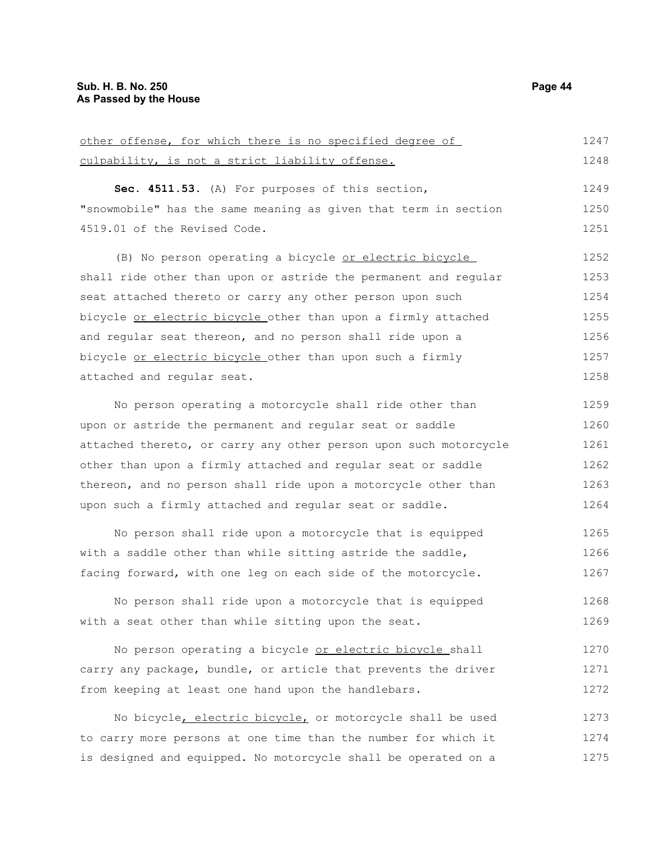other offense, for which there is no specified degree of culpability, is not a strict liability offense. **Sec. 4511.53.** (A) For purposes of this section, "snowmobile" has the same meaning as given that term in section 4519.01 of the Revised Code. (B) No person operating a bicycle or electric bicycle shall ride other than upon or astride the permanent and regular seat attached thereto or carry any other person upon such bicycle or electric bicycle other than upon a firmly attached and regular seat thereon, and no person shall ride upon a bicycle or electric bicycle other than upon such a firmly attached and regular seat. No person operating a motorcycle shall ride other than upon or astride the permanent and regular seat or saddle attached thereto, or carry any other person upon such motorcycle other than upon a firmly attached and regular seat or saddle thereon, and no person shall ride upon a motorcycle other than upon such a firmly attached and regular seat or saddle. No person shall ride upon a motorcycle that is equipped with a saddle other than while sitting astride the saddle, facing forward, with one leg on each side of the motorcycle. No person shall ride upon a motorcycle that is equipped with a seat other than while sitting upon the seat. No person operating a bicycle or electric bicycle shall carry any package, bundle, or article that prevents the driver from keeping at least one hand upon the handlebars. No bicycle, electric bicycle, or motorcycle shall be used 1247 1248 1249 1250 1251 1252 1253 1254 1255 1256 1257 1258 1259 1260 1261 1262 1263 1264 1265 1266 1267 1268 1269 1270 1271 1272 1273

to carry more persons at one time than the number for which it is designed and equipped. No motorcycle shall be operated on a 1274 1275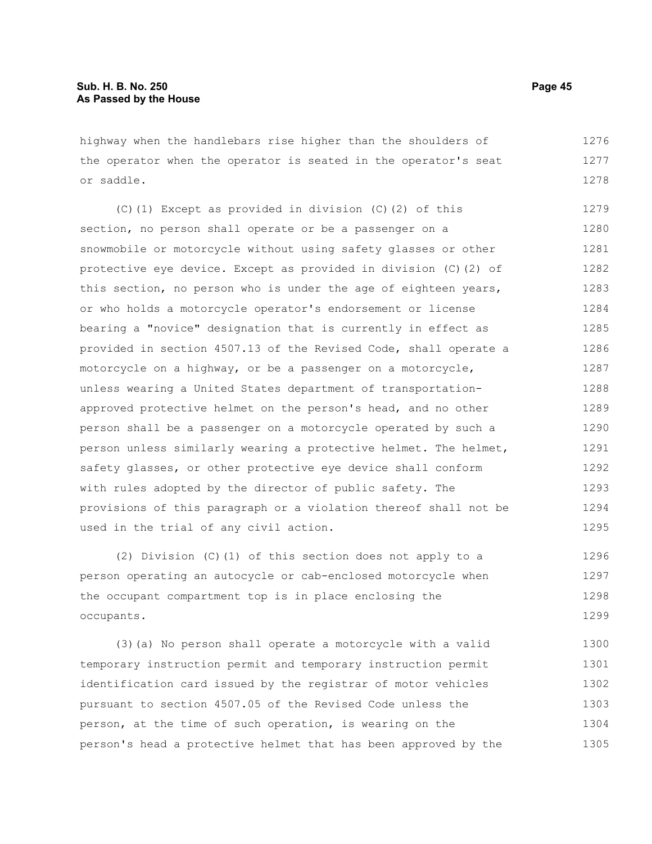highway when the handlebars rise higher than the shoulders of the operator when the operator is seated in the operator's seat or saddle. 1276 1277 1278

(C)(1) Except as provided in division (C)(2) of this section, no person shall operate or be a passenger on a snowmobile or motorcycle without using safety glasses or other protective eye device. Except as provided in division (C)(2) of this section, no person who is under the age of eighteen years, or who holds a motorcycle operator's endorsement or license bearing a "novice" designation that is currently in effect as provided in section 4507.13 of the Revised Code, shall operate a motorcycle on a highway, or be a passenger on a motorcycle, unless wearing a United States department of transportationapproved protective helmet on the person's head, and no other person shall be a passenger on a motorcycle operated by such a person unless similarly wearing a protective helmet. The helmet, safety glasses, or other protective eye device shall conform with rules adopted by the director of public safety. The provisions of this paragraph or a violation thereof shall not be used in the trial of any civil action. 1279 1280 1281 1282 1283 1284 1285 1286 1287 1288 1289 1290 1291 1292 1293 1294 1295

(2) Division (C)(1) of this section does not apply to a person operating an autocycle or cab-enclosed motorcycle when the occupant compartment top is in place enclosing the occupants. 1296 1297 1298 1299

(3)(a) No person shall operate a motorcycle with a valid temporary instruction permit and temporary instruction permit identification card issued by the registrar of motor vehicles pursuant to section 4507.05 of the Revised Code unless the person, at the time of such operation, is wearing on the person's head a protective helmet that has been approved by the 1300 1301 1302 1303 1304 1305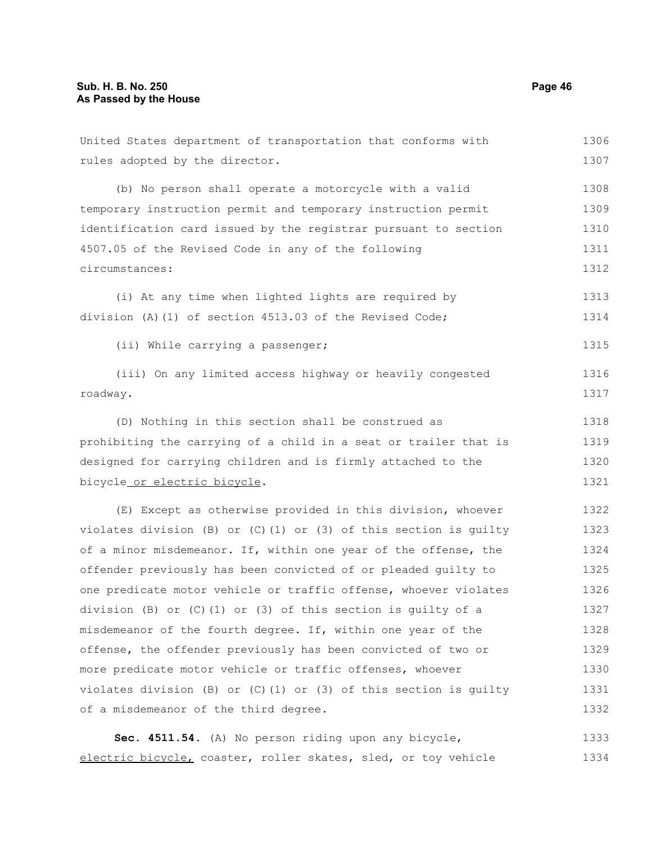rules adopted by the director.

(b) No person shall operate a motorcycle with a valid temporary instruction permit and temporary instruction permit identification card issued by the registrar pursuant to section 4507.05 of the Revised Code in any of the following circumstances: 1308 1309 1310 1311 1312

(i) At any time when lighted lights are required by division (A)(1) of section 4513.03 of the Revised Code; 1313 1314

(ii) While carrying a passenger;

(iii) On any limited access highway or heavily congested roadway. 1316 1317

(D) Nothing in this section shall be construed as prohibiting the carrying of a child in a seat or trailer that is designed for carrying children and is firmly attached to the bicycle or electric bicycle. 1318 1319 1320 1321

(E) Except as otherwise provided in this division, whoever violates division (B) or (C)(1) or (3) of this section is quilty of a minor misdemeanor. If, within one year of the offense, the offender previously has been convicted of or pleaded guilty to one predicate motor vehicle or traffic offense, whoever violates division (B) or (C)(1) or (3) of this section is guilty of a misdemeanor of the fourth degree. If, within one year of the offense, the offender previously has been convicted of two or more predicate motor vehicle or traffic offenses, whoever violates division (B) or (C)(1) or (3) of this section is guilty of a misdemeanor of the third degree. 1322 1323 1324 1325 1326 1327 1328 1329 1330 1331 1332

**Sec. 4511.54.** (A) No person riding upon any bicycle, electric bicycle, coaster, roller skates, sled, or toy vehicle 1333 1334

1306 1307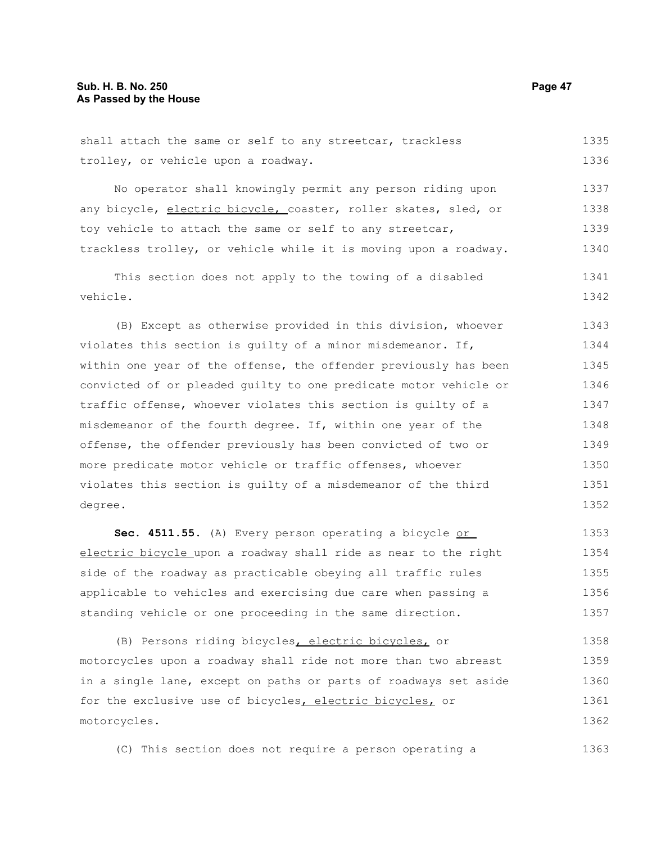shall attach the same or self to any streetcar, trackless trolley, or vehicle upon a roadway. No operator shall knowingly permit any person riding upon any bicycle, electric bicycle, coaster, roller skates, sled, or toy vehicle to attach the same or self to any streetcar, trackless trolley, or vehicle while it is moving upon a roadway. This section does not apply to the towing of a disabled vehicle. (B) Except as otherwise provided in this division, whoever violates this section is guilty of a minor misdemeanor. If, 1335 1336 1337 1338 1339 1340 1341 1342 1343 1344

within one year of the offense, the offender previously has been convicted of or pleaded guilty to one predicate motor vehicle or traffic offense, whoever violates this section is guilty of a misdemeanor of the fourth degree. If, within one year of the offense, the offender previously has been convicted of two or more predicate motor vehicle or traffic offenses, whoever violates this section is guilty of a misdemeanor of the third degree. 1345 1346 1347 1348 1349 1350 1351 1352

Sec. 4511.55. (A) Every person operating a bicycle or electric bicycle upon a roadway shall ride as near to the right side of the roadway as practicable obeying all traffic rules applicable to vehicles and exercising due care when passing a standing vehicle or one proceeding in the same direction. 1353 1354 1355 1356 1357

(B) Persons riding bicycles, electric bicycles, or motorcycles upon a roadway shall ride not more than two abreast in a single lane, except on paths or parts of roadways set aside for the exclusive use of bicycles, electric bicycles, or motorcycles. 1358 1359 1360 1361 1362

(C) This section does not require a person operating a 1363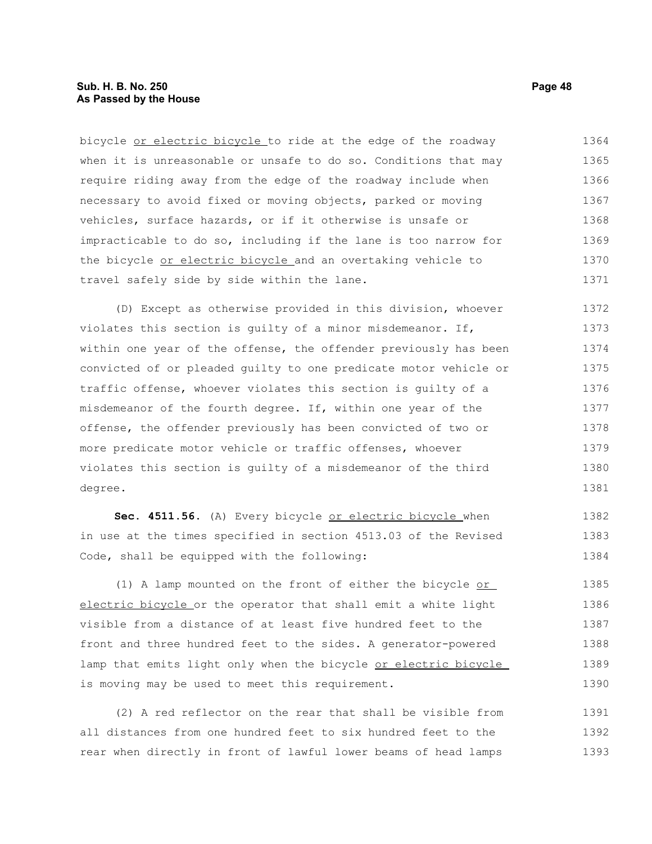bicycle or electric bicycle to ride at the edge of the roadway when it is unreasonable or unsafe to do so. Conditions that may require riding away from the edge of the roadway include when necessary to avoid fixed or moving objects, parked or moving vehicles, surface hazards, or if it otherwise is unsafe or impracticable to do so, including if the lane is too narrow for the bicycle or electric bicycle and an overtaking vehicle to travel safely side by side within the lane. 1364 1365 1366 1367 1368 1369 1370 1371

(D) Except as otherwise provided in this division, whoever violates this section is guilty of a minor misdemeanor. If, within one year of the offense, the offender previously has been convicted of or pleaded guilty to one predicate motor vehicle or traffic offense, whoever violates this section is guilty of a misdemeanor of the fourth degree. If, within one year of the offense, the offender previously has been convicted of two or more predicate motor vehicle or traffic offenses, whoever violates this section is guilty of a misdemeanor of the third degree. 1372 1373 1374 1375 1376 1377 1378 1379 1380 1381

Sec. 4511.56. (A) Every bicycle or electric bicycle when in use at the times specified in section 4513.03 of the Revised Code, shall be equipped with the following:

(1) A lamp mounted on the front of either the bicycle or electric bicycle or the operator that shall emit a white light visible from a distance of at least five hundred feet to the front and three hundred feet to the sides. A generator-powered lamp that emits light only when the bicycle or electric bicycle is moving may be used to meet this requirement. 1385 1386 1387 1388 1389 1390

(2) A red reflector on the rear that shall be visible from all distances from one hundred feet to six hundred feet to the rear when directly in front of lawful lower beams of head lamps 1391 1392 1393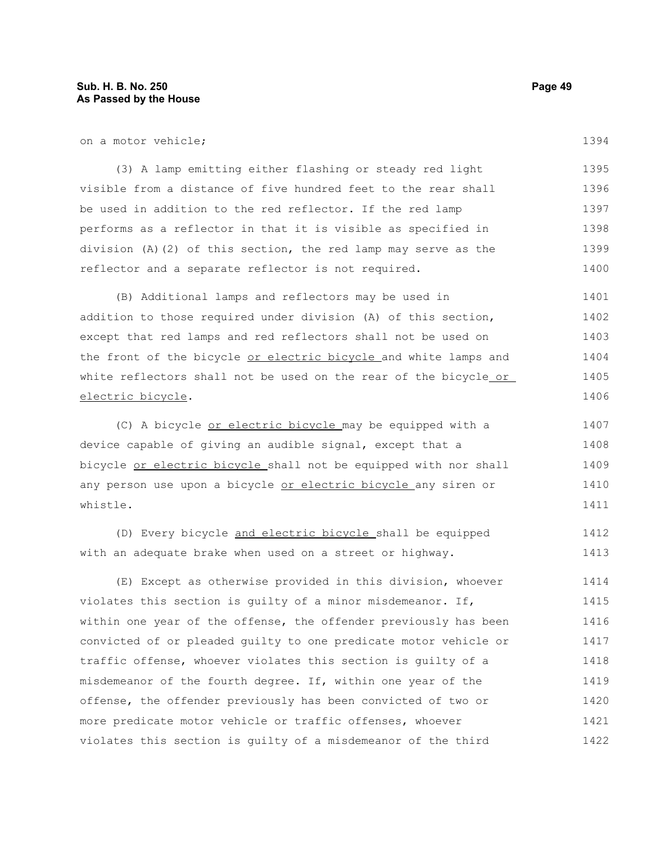on a motor vehicle;

(3) A lamp emitting either flashing or steady red light visible from a distance of five hundred feet to the rear shall be used in addition to the red reflector. If the red lamp performs as a reflector in that it is visible as specified in division (A)(2) of this section, the red lamp may serve as the reflector and a separate reflector is not required. 1395 1396 1397 1398 1399 1400

(B) Additional lamps and reflectors may be used in addition to those required under division (A) of this section, except that red lamps and red reflectors shall not be used on the front of the bicycle or electric bicycle and white lamps and white reflectors shall not be used on the rear of the bicycle or electric bicycle. 1401 1402 1403 1404 1405 1406

(C) A bicycle or electric bicycle may be equipped with a device capable of giving an audible signal, except that a bicycle or electric bicycle shall not be equipped with nor shall any person use upon a bicycle or electric bicycle any siren or whistle. 1407 1408 1409 1410 1411

(D) Every bicycle and electric bicycle shall be equipped with an adequate brake when used on a street or highway. 1412 1413

(E) Except as otherwise provided in this division, whoever violates this section is guilty of a minor misdemeanor. If, within one year of the offense, the offender previously has been convicted of or pleaded guilty to one predicate motor vehicle or traffic offense, whoever violates this section is guilty of a misdemeanor of the fourth degree. If, within one year of the offense, the offender previously has been convicted of two or more predicate motor vehicle or traffic offenses, whoever violates this section is guilty of a misdemeanor of the third 1414 1415 1416 1417 1418 1419 1420 1421 1422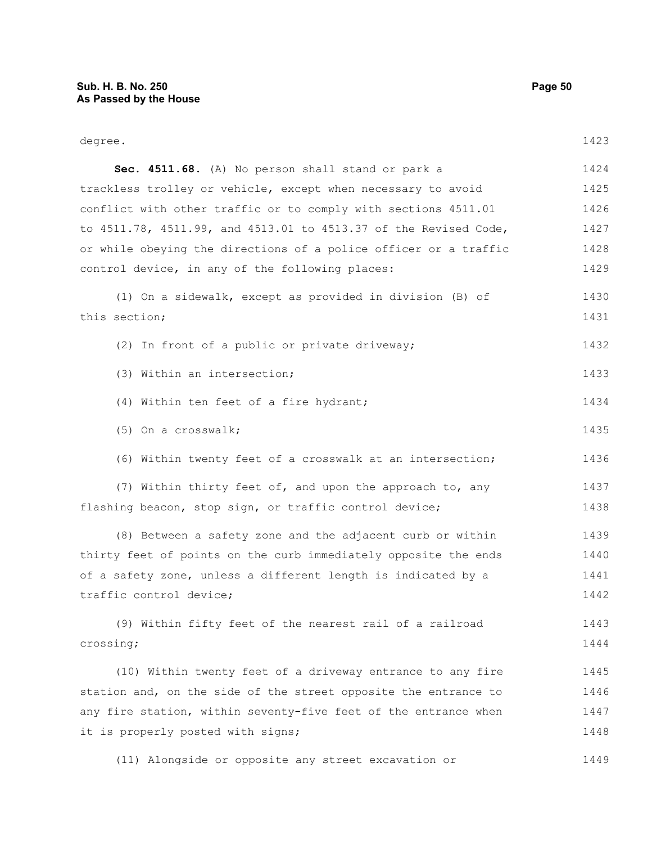| degree.                                                          | 1423 |
|------------------------------------------------------------------|------|
| Sec. 4511.68. (A) No person shall stand or park a                | 1424 |
| trackless trolley or vehicle, except when necessary to avoid     | 1425 |
| conflict with other traffic or to comply with sections 4511.01   | 1426 |
| to 4511.78, 4511.99, and 4513.01 to 4513.37 of the Revised Code, | 1427 |
| or while obeying the directions of a police officer or a traffic | 1428 |
| control device, in any of the following places:                  | 1429 |
| (1) On a sidewalk, except as provided in division (B) of         | 1430 |
| this section;                                                    | 1431 |
| (2) In front of a public or private driveway;                    | 1432 |
| (3) Within an intersection;                                      | 1433 |
| (4) Within ten feet of a fire hydrant;                           | 1434 |
| (5) On a crosswalk;                                              | 1435 |
| (6) Within twenty feet of a crosswalk at an intersection;        | 1436 |
| (7) Within thirty feet of, and upon the approach to, any         | 1437 |
| flashing beacon, stop sign, or traffic control device;           | 1438 |
| (8) Between a safety zone and the adjacent curb or within        | 1439 |
| thirty feet of points on the curb immediately opposite the ends  | 1440 |
| of a safety zone, unless a different length is indicated by a    | 1441 |
| traffic control device;                                          | 1442 |
| (9) Within fifty feet of the nearest rail of a railroad          | 1443 |
| crossing;                                                        | 1444 |
| (10) Within twenty feet of a driveway entrance to any fire       | 1445 |
| station and, on the side of the street opposite the entrance to  | 1446 |
| any fire station, within seventy-five feet of the entrance when  | 1447 |
| it is properly posted with signs;                                | 1448 |

(11) Alongside or opposite any street excavation or 1449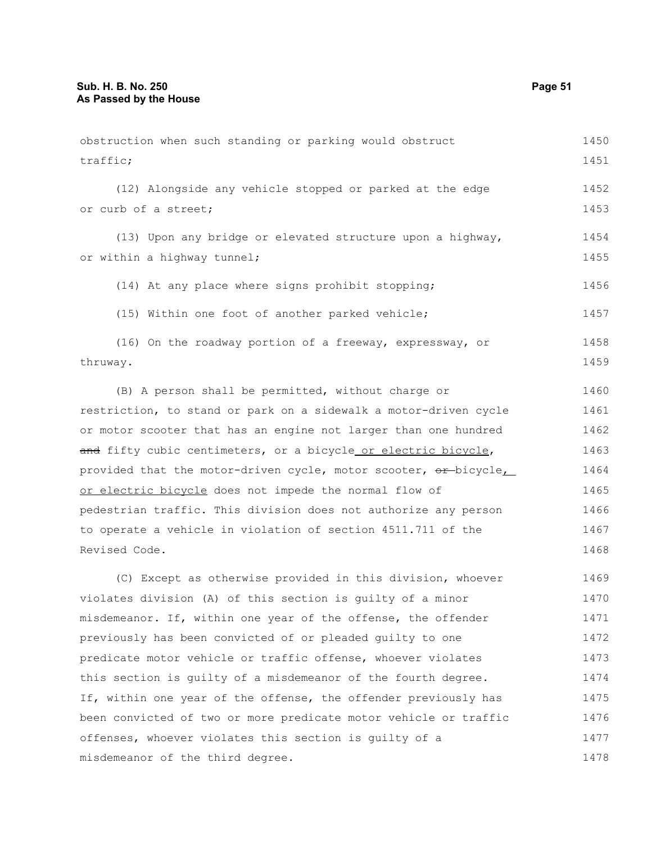obstruction when such standing or parking would obstruct

| traffic;                                                         | 1451 |
|------------------------------------------------------------------|------|
| (12) Alongside any vehicle stopped or parked at the edge         | 1452 |
| or curb of a street;                                             | 1453 |
| (13) Upon any bridge or elevated structure upon a highway,       | 1454 |
| or within a highway tunnel;                                      | 1455 |
| (14) At any place where signs prohibit stopping;                 | 1456 |
| (15) Within one foot of another parked vehicle;                  | 1457 |
| (16) On the roadway portion of a freeway, expressway, or         | 1458 |
| thruway.                                                         | 1459 |
| (B) A person shall be permitted, without charge or               | 1460 |
| restriction, to stand or park on a sidewalk a motor-driven cycle | 1461 |
| or motor scooter that has an engine not larger than one hundred  | 1462 |
| and fifty cubic centimeters, or a bicycle or electric bicycle,   | 1463 |
| provided that the motor-driven cycle, motor scooter, or bicycle  | 1464 |
| or electric bicycle does not impede the normal flow of           | 1465 |
| pedestrian traffic. This division does not authorize any person  | 1466 |
| to operate a vehicle in violation of section 4511.711 of the     | 1467 |
| Revised Code.                                                    | 1468 |
| (C) Except as otherwise provided in this division, whoever       | 1469 |
| violates division (A) of this section is guilty of a minor       | 1470 |
| misdemeanor. If, within one year of the offense, the offender    | 1471 |
| previously has been convicted of or pleaded quilty to one        | 1472 |
| predicate motor vehicle or traffic offense, whoever violates     | 1473 |
| this section is guilty of a misdemeanor of the fourth degree.    | 1474 |
| If, within one year of the offense, the offender previously has  | 1475 |
| been convicted of two or more predicate motor vehicle or traffic | 1476 |
| offenses, whoever violates this section is quilty of a           | 1477 |
| misdemeanor of the third degree.                                 | 1478 |